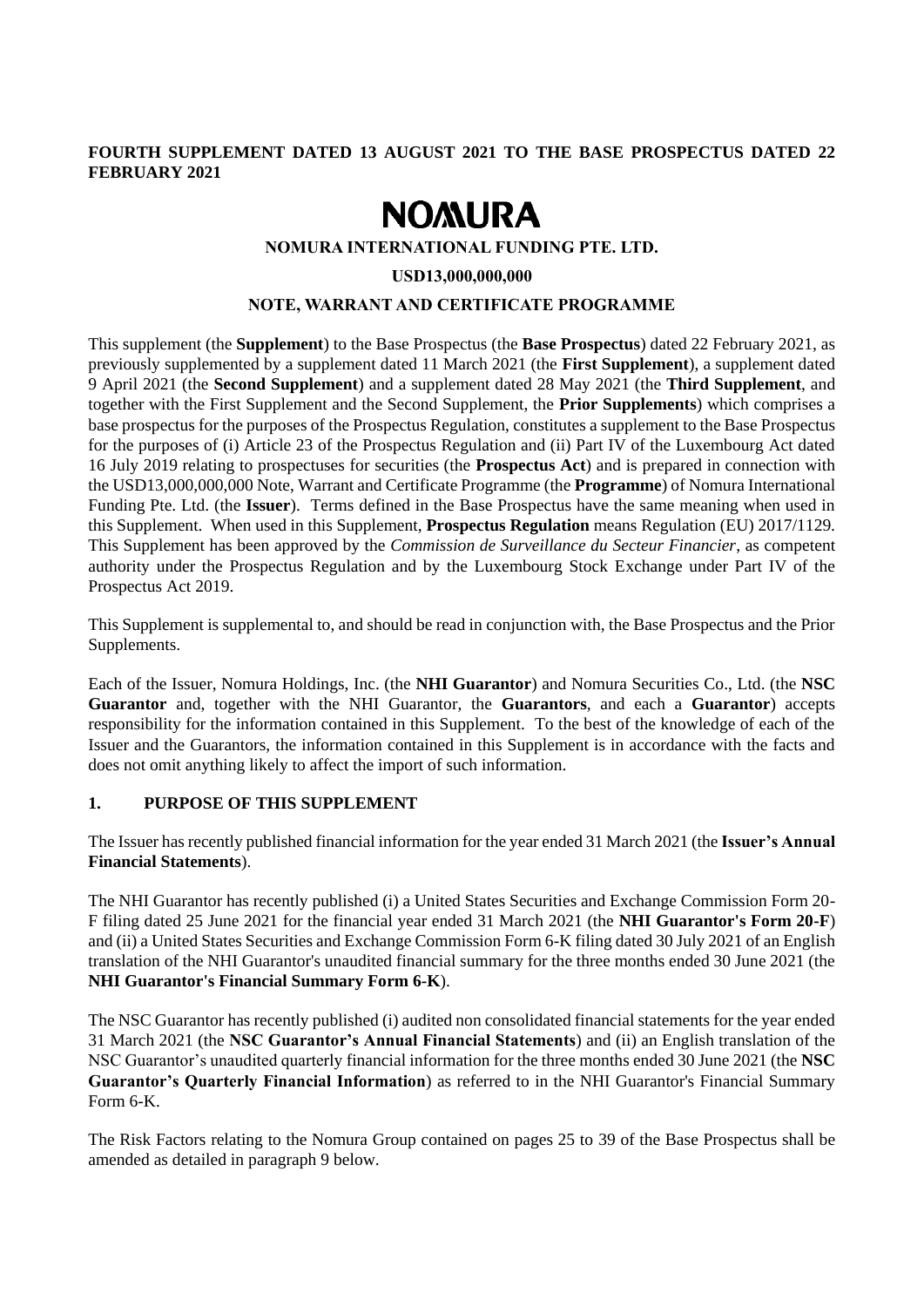# **FOURTH SUPPLEMENT DATED 13 AUGUST 2021 TO THE BASE PROSPECTUS DATED 22 FEBRUARY 2021**

# **NOMURA**

## **NOMURA INTERNATIONAL FUNDING PTE. LTD.**

## **USD13,000,000,000**

## **NOTE, WARRANT AND CERTIFICATE PROGRAMME**

This supplement (the **Supplement**) to the Base Prospectus (the **Base Prospectus**) dated 22 February 2021, as previously supplemented by a supplement dated 11 March 2021 (the **First Supplement**), a supplement dated 9 April 2021 (the **Second Supplement**) and a supplement dated 28 May 2021 (the **Third Supplement**, and together with the First Supplement and the Second Supplement, the **Prior Supplements**) which comprises a base prospectus for the purposes of the Prospectus Regulation, constitutes a supplement to the Base Prospectus for the purposes of (i) Article 23 of the Prospectus Regulation and (ii) Part IV of the Luxembourg Act dated 16 July 2019 relating to prospectuses for securities (the **Prospectus Act**) and is prepared in connection with the USD13,000,000,000 Note, Warrant and Certificate Programme (the **Programme**) of Nomura International Funding Pte. Ltd. (the **Issuer**). Terms defined in the Base Prospectus have the same meaning when used in this Supplement. When used in this Supplement, **Prospectus Regulation** means Regulation (EU) 2017/1129. This Supplement has been approved by the *Commission de Surveillance du Secteur Financier*, as competent authority under the Prospectus Regulation and by the Luxembourg Stock Exchange under Part IV of the Prospectus Act 2019.

This Supplement is supplemental to, and should be read in conjunction with, the Base Prospectus and the Prior Supplements.

Each of the Issuer, Nomura Holdings, Inc. (the **NHI Guarantor**) and Nomura Securities Co., Ltd. (the **NSC Guarantor** and, together with the NHI Guarantor, the **Guarantors**, and each a **Guarantor**) accepts responsibility for the information contained in this Supplement. To the best of the knowledge of each of the Issuer and the Guarantors, the information contained in this Supplement is in accordance with the facts and does not omit anything likely to affect the import of such information.

## **1. PURPOSE OF THIS SUPPLEMENT**

The Issuer has recently published financial information for the year ended 31 March 2021 (the **Issuer's Annual Financial Statements**).

The NHI Guarantor has recently published (i) a United States Securities and Exchange Commission Form 20- F filing dated 25 June 2021 for the financial year ended 31 March 2021 (the **NHI Guarantor's Form 20-F**) and (ii) a United States Securities and Exchange Commission Form 6-K filing dated 30 July 2021 of an English translation of the NHI Guarantor's unaudited financial summary for the three months ended 30 June 2021 (the **NHI Guarantor's Financial Summary Form 6-K**).

The NSC Guarantor has recently published (i) audited non consolidated financial statements for the year ended 31 March 2021 (the **NSC Guarantor's Annual Financial Statements**) and (ii) an English translation of the NSC Guarantor's unaudited quarterly financial information for the three months ended 30 June 2021 (the **NSC Guarantor's Quarterly Financial Information**) as referred to in the NHI Guarantor's Financial Summary Form 6-K.

The Risk Factors relating to the Nomura Group contained on pages 25 to 39 of the Base Prospectus shall be amended as detailed in paragraph 9 below.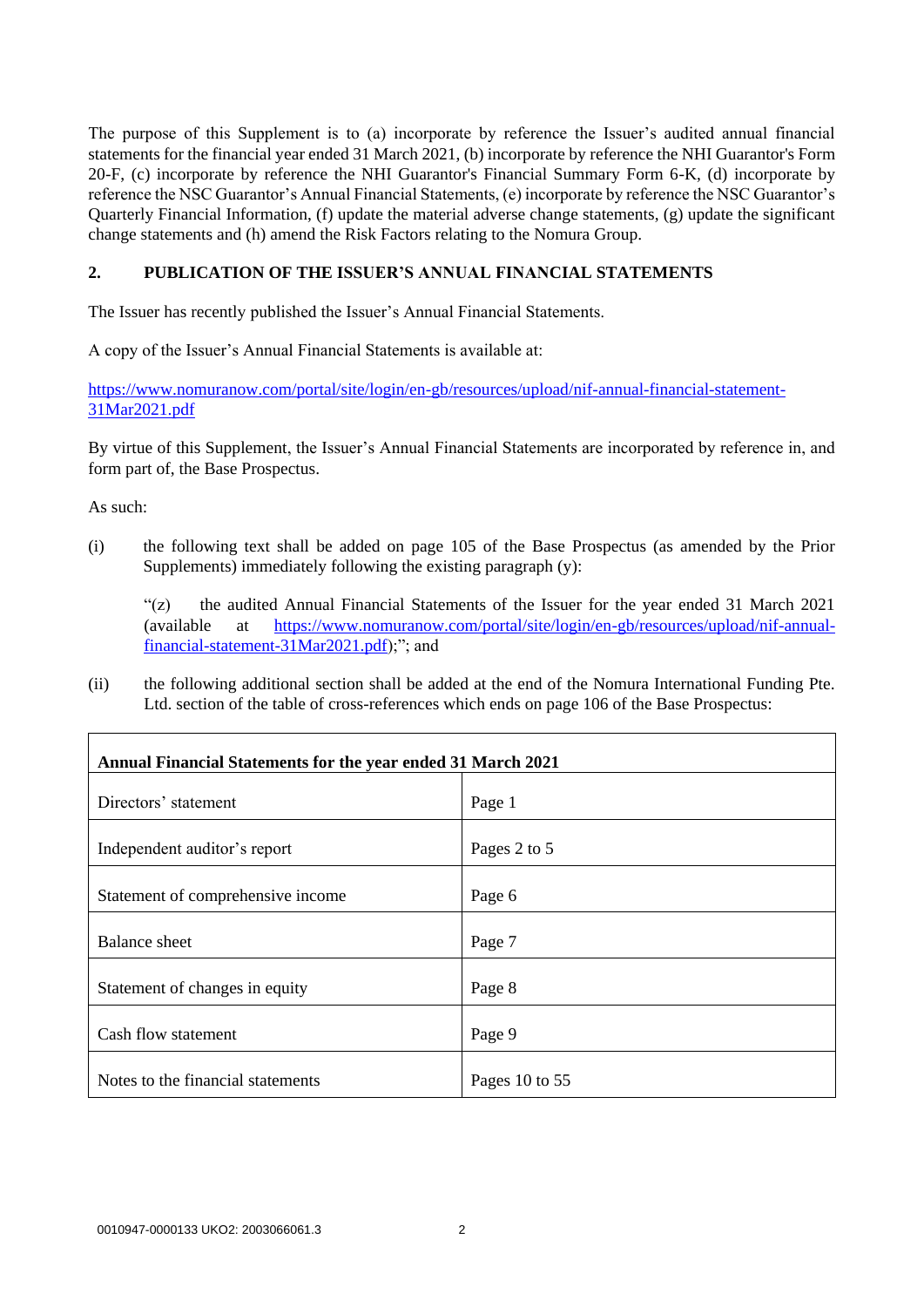The purpose of this Supplement is to (a) incorporate by reference the Issuer's audited annual financial statements for the financial year ended 31 March 2021, (b) incorporate by reference the NHI Guarantor's Form 20-F, (c) incorporate by reference the NHI Guarantor's Financial Summary Form 6-K, (d) incorporate by reference the NSC Guarantor's Annual Financial Statements, (e) incorporate by reference the NSC Guarantor's Quarterly Financial Information, (f) update the material adverse change statements, (g) update the significant change statements and (h) amend the Risk Factors relating to the Nomura Group.

# **2. PUBLICATION OF THE ISSUER'S ANNUAL FINANCIAL STATEMENTS**

The Issuer has recently published the Issuer's Annual Financial Statements.

A copy of the Issuer's Annual Financial Statements is available at:

[https://www.nomuranow.com/portal/site/login/en-gb/resources/upload/nif-annual-financial-statement-](https://www.nomuranow.com/portal/site/login/en-gb/resources/upload/nif-annual-financial-statement-31Mar2021.pdf)[31Mar2021.pdf](https://www.nomuranow.com/portal/site/login/en-gb/resources/upload/nif-annual-financial-statement-31Mar2021.pdf)

By virtue of this Supplement, the Issuer's Annual Financial Statements are incorporated by reference in, and form part of, the Base Prospectus.

As such:

(i) the following text shall be added on page 105 of the Base Prospectus (as amended by the Prior Supplements) immediately following the existing paragraph (y):

"(z) the audited Annual Financial Statements of the Issuer for the year ended 31 March 2021 (available at [https://www.nomuranow.com/portal/site/login/en-gb/resources/upload/nif-annual](https://www.nomuranow.com/portal/site/login/en-gb/resources/upload/nif-annual-financial-statement-31Mar2021.pdf)[financial-statement-31Mar2021.pdf\)](https://www.nomuranow.com/portal/site/login/en-gb/resources/upload/nif-annual-financial-statement-31Mar2021.pdf);"; and

(ii) the following additional section shall be added at the end of the Nomura International Funding Pte. Ltd. section of the table of cross-references which ends on page 106 of the Base Prospectus:

| <b>Annual Financial Statements for the year ended 31 March 2021</b> |                |  |
|---------------------------------------------------------------------|----------------|--|
| Directors' statement                                                | Page 1         |  |
| Independent auditor's report                                        | Pages 2 to 5   |  |
| Statement of comprehensive income                                   | Page 6         |  |
| <b>Balance</b> sheet                                                | Page 7         |  |
| Statement of changes in equity                                      | Page 8         |  |
| Cash flow statement                                                 | Page 9         |  |
| Notes to the financial statements                                   | Pages 10 to 55 |  |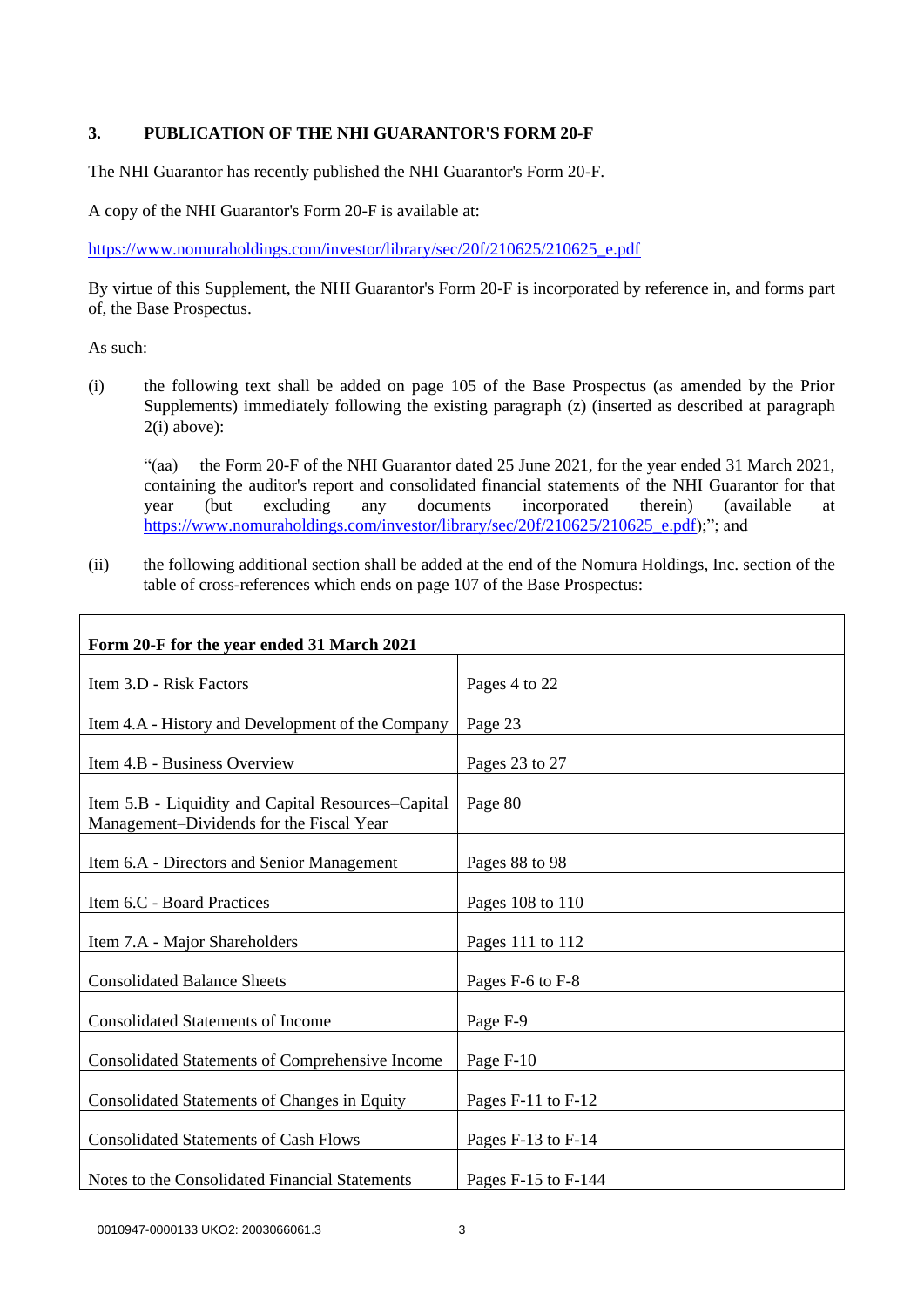# **3. PUBLICATION OF THE NHI GUARANTOR'S FORM 20-F**

The NHI Guarantor has recently published the NHI Guarantor's Form 20-F.

A copy of the NHI Guarantor's Form 20-F is available at:

https://www.nomuraholdings.com/investor/library/sec/20f/210625/210625\_e.pdf

By virtue of this Supplement, the NHI Guarantor's Form 20-F is incorporated by reference in, and forms part of, the Base Prospectus.

As such:

(i) the following text shall be added on page 105 of the Base Prospectus (as amended by the Prior Supplements) immediately following the existing paragraph (z) (inserted as described at paragraph 2(i) above):

"(aa) the Form 20-F of the NHI Guarantor dated 25 June 2021, for the year ended 31 March 2021, containing the auditor's report and consolidated financial statements of the NHI Guarantor for that year (but excluding any documents incorporated therein) (available at https://www.nomuraholdings.com/investor/library/sec/20f/210625/210625\_e.pdf);"; and

(ii) the following additional section shall be added at the end of the Nomura Holdings, Inc. section of the table of cross-references which ends on page 107 of the Base Prospectus:

| Form 20-F for the year ended 31 March 2021                                                     |                         |
|------------------------------------------------------------------------------------------------|-------------------------|
| Item 3.D - Risk Factors                                                                        | Pages 4 to 22           |
| Item 4.A - History and Development of the Company                                              | Page 23                 |
| Item 4.B - Business Overview                                                                   | Pages 23 to 27          |
| Item 5.B - Liquidity and Capital Resources-Capital<br>Management-Dividends for the Fiscal Year | Page 80                 |
| Item 6.A - Directors and Senior Management                                                     | Pages 88 to 98          |
| Item 6.C - Board Practices                                                                     | Pages 108 to 110        |
| Item 7.A - Major Shareholders                                                                  | Pages 111 to 112        |
| <b>Consolidated Balance Sheets</b>                                                             | Pages F-6 to F-8        |
| <b>Consolidated Statements of Income</b>                                                       | Page F-9                |
| <b>Consolidated Statements of Comprehensive Income</b>                                         | Page F-10               |
| Consolidated Statements of Changes in Equity                                                   | Pages F-11 to F-12      |
| <b>Consolidated Statements of Cash Flows</b>                                                   | Pages F-13 to F-14      |
| Notes to the Consolidated Financial Statements                                                 | Pages $F-15$ to $F-144$ |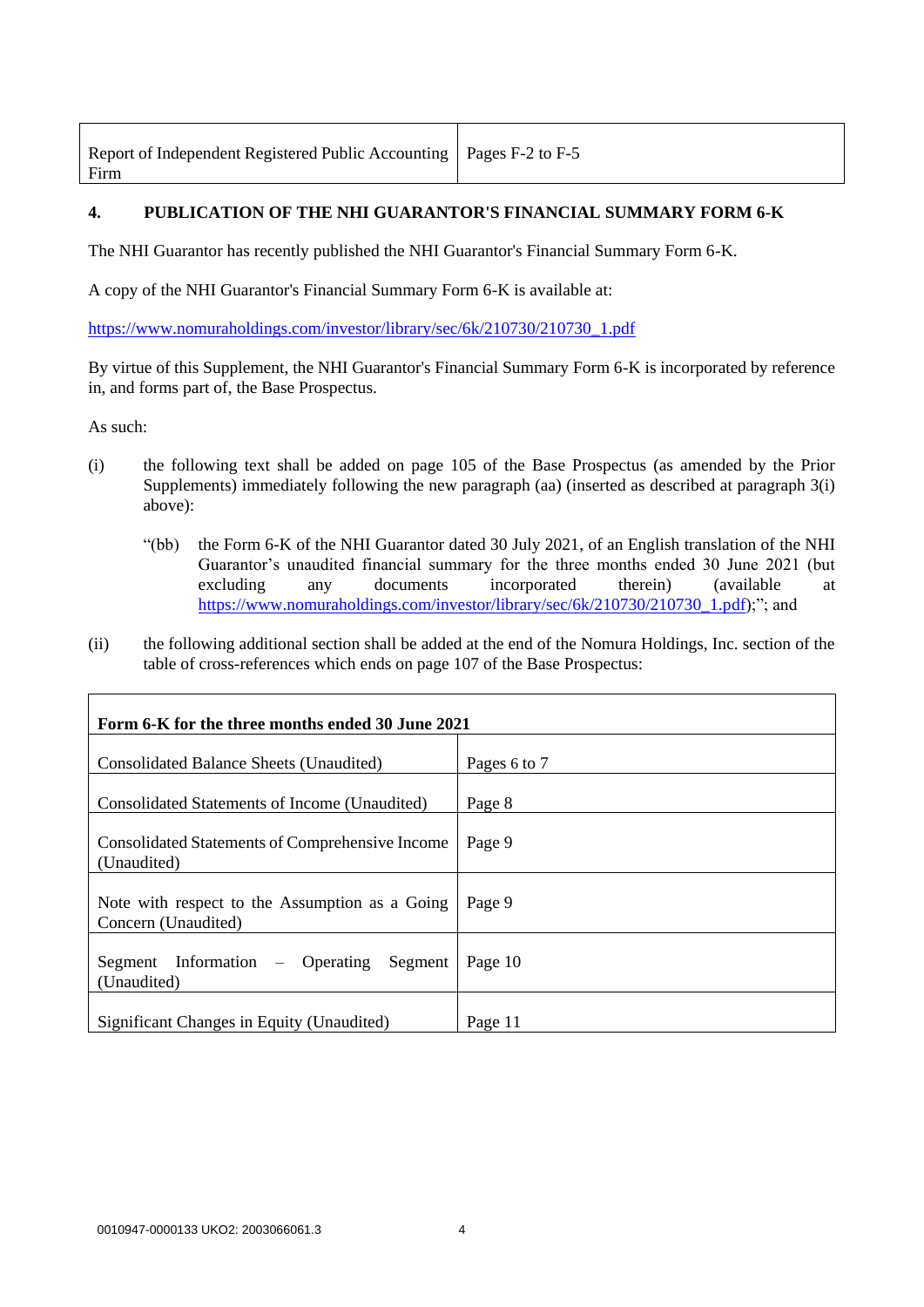| Report of Independent Registered Public Accounting   Pages F-2 to F-5 |  |
|-----------------------------------------------------------------------|--|
| Firm                                                                  |  |

# **4. PUBLICATION OF THE NHI GUARANTOR'S FINANCIAL SUMMARY FORM 6-K**

The NHI Guarantor has recently published the NHI Guarantor's Financial Summary Form 6-K.

A copy of the NHI Guarantor's Financial Summary Form 6-K is available at:

https://www.nomuraholdings.com/investor/library/sec/6k/210730/210730\_1.pdf

By virtue of this Supplement, the NHI Guarantor's Financial Summary Form 6-K is incorporated by reference in, and forms part of, the Base Prospectus.

As such:

- (i) the following text shall be added on page 105 of the Base Prospectus (as amended by the Prior Supplements) immediately following the new paragraph (aa) (inserted as described at paragraph 3(i) above):
	- "(bb) the Form 6-K of the NHI Guarantor dated 30 July 2021, of an English translation of the NHI Guarantor's unaudited financial summary for the three months ended 30 June 2021 (but excluding any documents incorporated therein) (available at https://www.nomuraholdings.com/investor/library/sec/6k/210730/210730\_1.pdf);"; and
- (ii) the following additional section shall be added at the end of the Nomura Holdings, Inc. section of the table of cross-references which ends on page 107 of the Base Prospectus:

| Form 6-K for the three months ended 30 June 2021                      |              |  |
|-----------------------------------------------------------------------|--------------|--|
| Consolidated Balance Sheets (Unaudited)                               | Pages 6 to 7 |  |
| Consolidated Statements of Income (Unaudited)                         | Page 8       |  |
| <b>Consolidated Statements of Comprehensive Income</b><br>(Unaudited) | Page 9       |  |
| Note with respect to the Assumption as a Going<br>Concern (Unaudited) | Page 9       |  |
| Segment Information – Operating Segment<br>(Unaudited)                | Page 10      |  |
| Significant Changes in Equity (Unaudited)                             | Page 11      |  |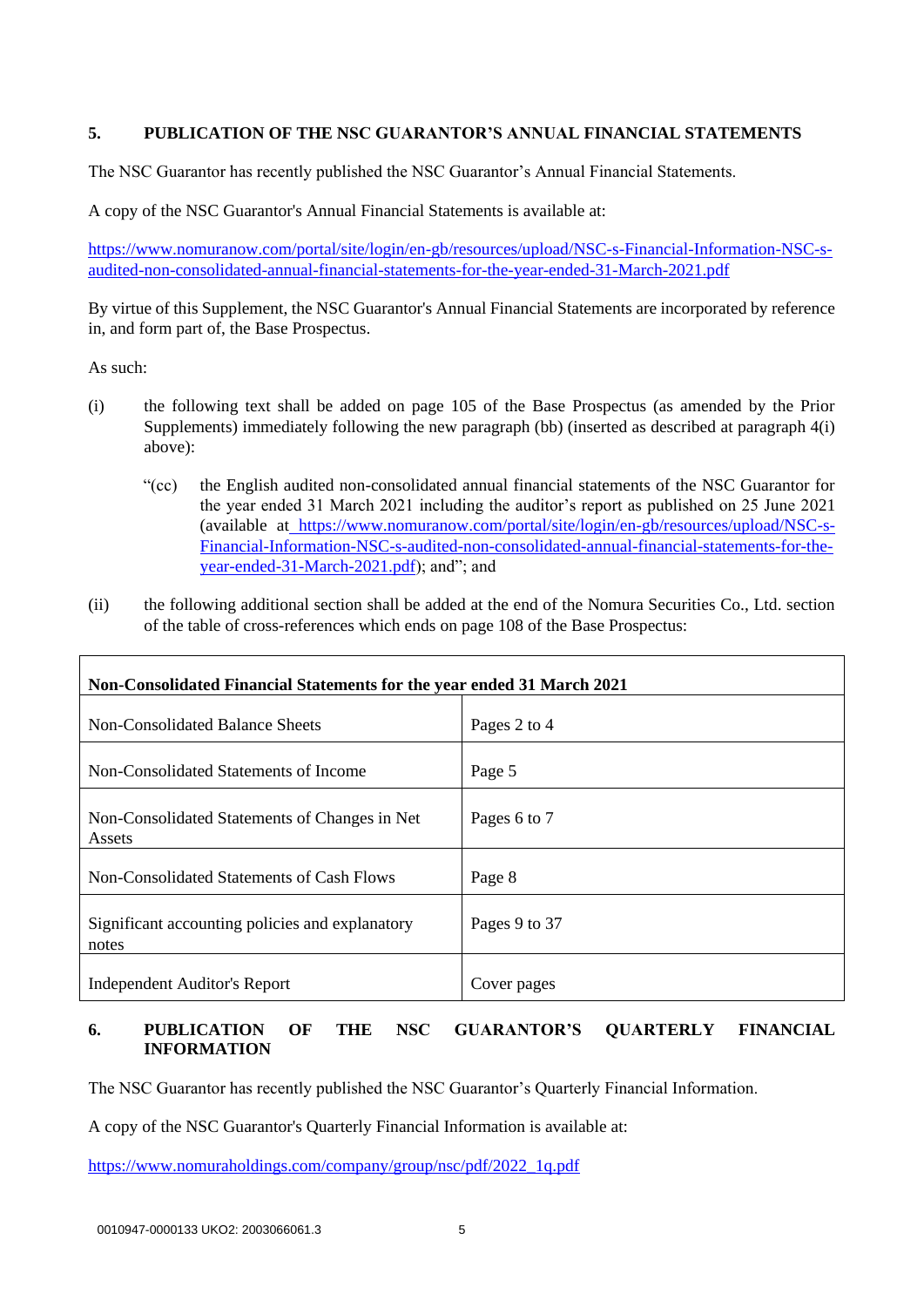# **5. PUBLICATION OF THE NSC GUARANTOR'S ANNUAL FINANCIAL STATEMENTS**

The NSC Guarantor has recently published the NSC Guarantor's Annual Financial Statements.

A copy of the NSC Guarantor's Annual Financial Statements is available at:

[https://www.nomuranow.com/portal/site/login/en-gb/resources/upload/NSC-s-Financial-Information-NSC-s](https://www.nomuranow.com/portal/site/login/en-gb/resources/upload/NSC-s-Financial-Information-NSC-s-audited-non-consolidated-annual-financial-statements-for-the-year-ended-31-March-2021.pdf)[audited-non-consolidated-annual-financial-statements-for-the-year-ended-31-March-2021.pdf](https://www.nomuranow.com/portal/site/login/en-gb/resources/upload/NSC-s-Financial-Information-NSC-s-audited-non-consolidated-annual-financial-statements-for-the-year-ended-31-March-2021.pdf)

By virtue of this Supplement, the NSC Guarantor's Annual Financial Statements are incorporated by reference in, and form part of, the Base Prospectus.

As such:

- (i) the following text shall be added on page 105 of the Base Prospectus (as amended by the Prior Supplements) immediately following the new paragraph (bb) (inserted as described at paragraph 4(i) above):
	- "(cc) the English audited non-consolidated annual financial statements of the NSC Guarantor for the year ended 31 March 2021 including the auditor's report as published on 25 June 2021 (available at [https://www.nomuranow.com/portal/site/login/en-gb/resources/upload/NSC-s-](https://www.nomuranow.com/portal/site/login/en-gb/resources/upload/NSC-s-Financial-Information-NSC-s-audited-non-consolidated-annual-financial-statements-for-the-year-ended-31-March-2021.pdf)[Financial-Information-NSC-s-audited-non-consolidated-annual-financial-statements-for-the](https://www.nomuranow.com/portal/site/login/en-gb/resources/upload/NSC-s-Financial-Information-NSC-s-audited-non-consolidated-annual-financial-statements-for-the-year-ended-31-March-2021.pdf)[year-ended-31-March-2021.pdf\)](https://www.nomuranow.com/portal/site/login/en-gb/resources/upload/NSC-s-Financial-Information-NSC-s-audited-non-consolidated-annual-financial-statements-for-the-year-ended-31-March-2021.pdf); and"; and
- (ii) the following additional section shall be added at the end of the Nomura Securities Co., Ltd. section of the table of cross-references which ends on page 108 of the Base Prospectus:

| Non-Consolidated Financial Statements for the year ended 31 March 2021 |               |  |
|------------------------------------------------------------------------|---------------|--|
| Non-Consolidated Balance Sheets                                        | Pages 2 to 4  |  |
| Non-Consolidated Statements of Income                                  | Page 5        |  |
| Non-Consolidated Statements of Changes in Net<br>Assets                | Pages 6 to 7  |  |
| Non-Consolidated Statements of Cash Flows                              | Page 8        |  |
| Significant accounting policies and explanatory<br>notes               | Pages 9 to 37 |  |
| <b>Independent Auditor's Report</b>                                    | Cover pages   |  |

# **6. PUBLICATION OF THE NSC GUARANTOR'S QUARTERLY FINANCIAL INFORMATION**

The NSC Guarantor has recently published the NSC Guarantor's Quarterly Financial Information.

A copy of the NSC Guarantor's Quarterly Financial Information is available at:

https://www.nomuraholdings.com/company/group/nsc/pdf/2022\_1q.pdf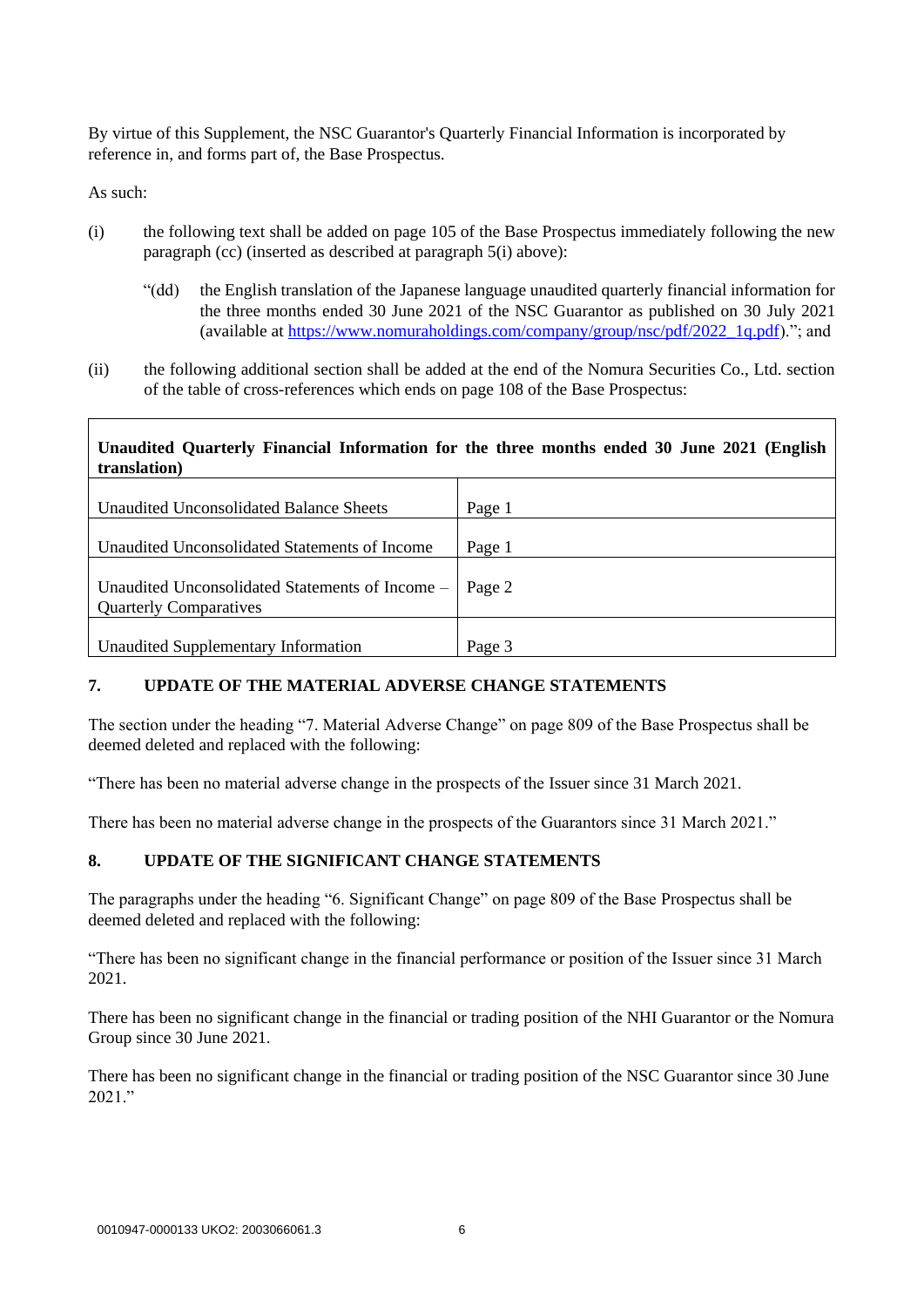By virtue of this Supplement, the NSC Guarantor's Quarterly Financial Information is incorporated by reference in, and forms part of, the Base Prospectus.

As such:

- (i) the following text shall be added on page 105 of the Base Prospectus immediately following the new paragraph (cc) (inserted as described at paragraph 5(i) above):
	- "(dd) the English translation of the Japanese language unaudited quarterly financial information for the three months ended 30 June 2021 of the NSC Guarantor as published on 30 July 2021 (available at [https://www.nomuraholdings.com/company/group/nsc/pdf/2022\\_1q.pdf\)](https://www.nomuraholdings.com/company/group/nsc/pdf/2022_1q.pdf)."; and
- (ii) the following additional section shall be added at the end of the Nomura Securities Co., Ltd. section of the table of cross-references which ends on page 108 of the Base Prospectus:

## **Unaudited Quarterly Financial Information for the three months ended 30 June 2021 (English translation)**

| Unaudited Unconsolidated Balance Sheets                                          | Page 1 |
|----------------------------------------------------------------------------------|--------|
| Unaudited Unconsolidated Statements of Income                                    | Page 1 |
| Unaudited Unconsolidated Statements of Income –<br><b>Quarterly Comparatives</b> | Page 2 |
| Unaudited Supplementary Information                                              | Page 3 |

## **7. UPDATE OF THE MATERIAL ADVERSE CHANGE STATEMENTS**

The section under the heading "7. Material Adverse Change" on page 809 of the Base Prospectus shall be deemed deleted and replaced with the following:

"There has been no material adverse change in the prospects of the Issuer since 31 March 2021.

There has been no material adverse change in the prospects of the Guarantors since 31 March 2021."

## **8. UPDATE OF THE SIGNIFICANT CHANGE STATEMENTS**

The paragraphs under the heading "6. Significant Change" on page 809 of the Base Prospectus shall be deemed deleted and replaced with the following:

"There has been no significant change in the financial performance or position of the Issuer since 31 March 2021.

There has been no significant change in the financial or trading position of the NHI Guarantor or the Nomura Group since 30 June 2021.

There has been no significant change in the financial or trading position of the NSC Guarantor since 30 June 2021."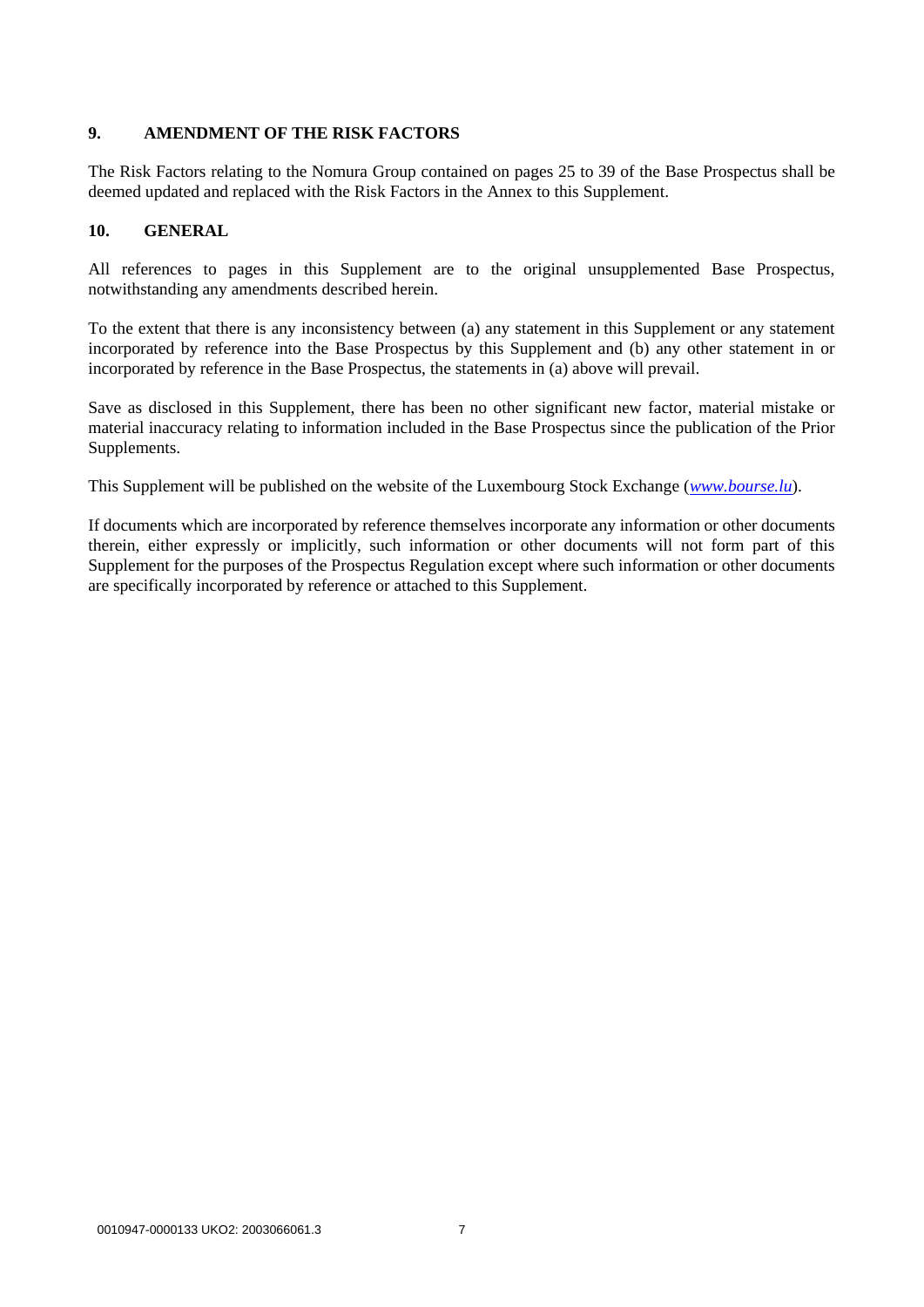# **9. AMENDMENT OF THE RISK FACTORS**

The Risk Factors relating to the Nomura Group contained on pages 25 to 39 of the Base Prospectus shall be deemed updated and replaced with the Risk Factors in the Annex to this Supplement.

# **10. GENERAL**

All references to pages in this Supplement are to the original unsupplemented Base Prospectus, notwithstanding any amendments described herein.

To the extent that there is any inconsistency between (a) any statement in this Supplement or any statement incorporated by reference into the Base Prospectus by this Supplement and (b) any other statement in or incorporated by reference in the Base Prospectus, the statements in (a) above will prevail.

Save as disclosed in this Supplement, there has been no other significant new factor, material mistake or material inaccuracy relating to information included in the Base Prospectus since the publication of the Prior Supplements.

This Supplement will be published on the website of the Luxembourg Stock Exchange (*[www.bourse.lu](http://www.bourse.lu/)*).

If documents which are incorporated by reference themselves incorporate any information or other documents therein, either expressly or implicitly, such information or other documents will not form part of this Supplement for the purposes of the Prospectus Regulation except where such information or other documents are specifically incorporated by reference or attached to this Supplement.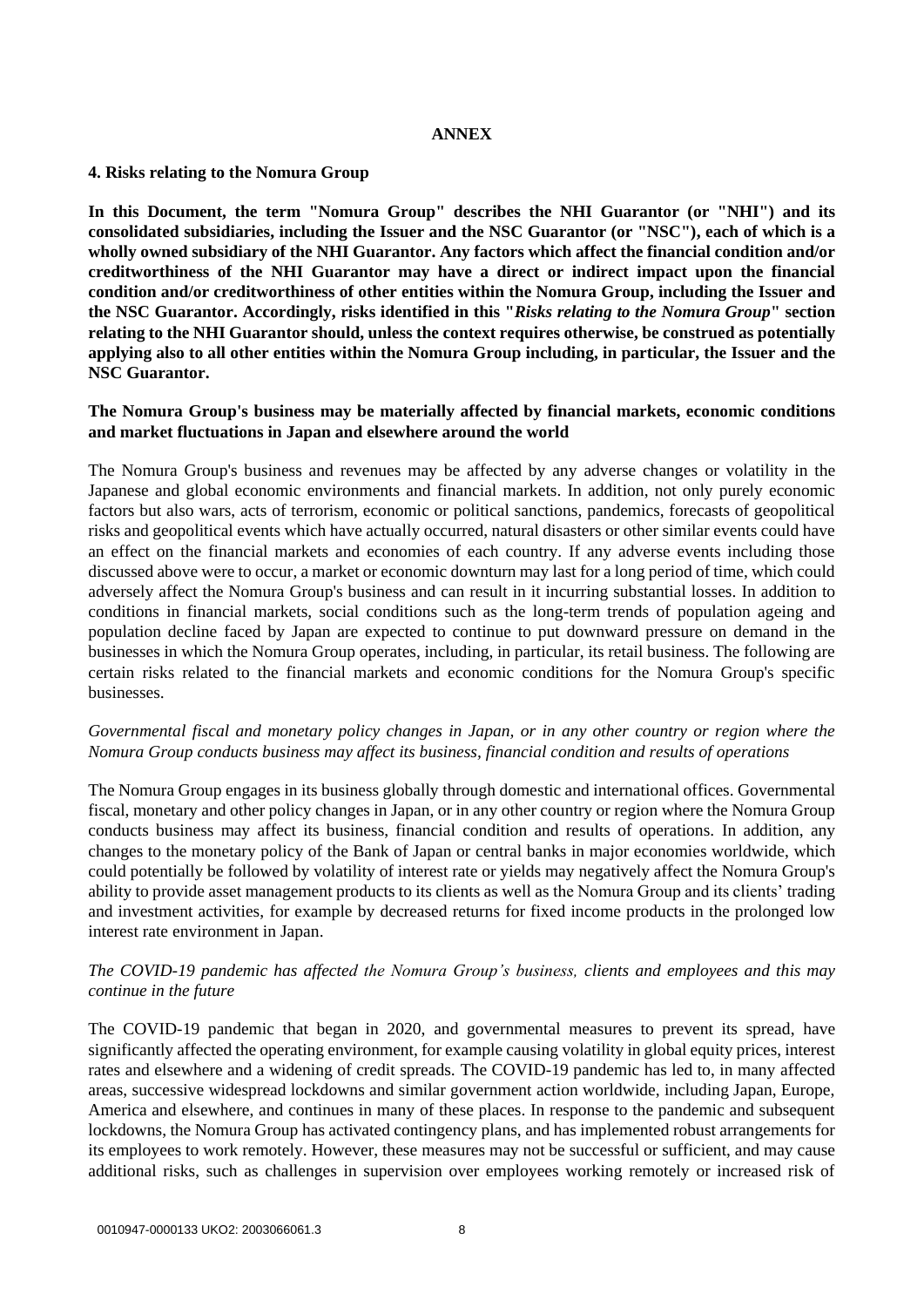#### **ANNEX**

#### **4. Risks relating to the Nomura Group**

**In this Document, the term "Nomura Group" describes the NHI Guarantor (or "NHI") and its consolidated subsidiaries, including the Issuer and the NSC Guarantor (or "NSC"), each of which is a wholly owned subsidiary of the NHI Guarantor. Any factors which affect the financial condition and/or creditworthiness of the NHI Guarantor may have a direct or indirect impact upon the financial condition and/or creditworthiness of other entities within the Nomura Group, including the Issuer and the NSC Guarantor. Accordingly, risks identified in this "***Risks relating to the Nomura Group***" section relating to the NHI Guarantor should, unless the context requires otherwise, be construed as potentially applying also to all other entities within the Nomura Group including, in particular, the Issuer and the NSC Guarantor.**

## **The Nomura Group's business may be materially affected by financial markets, economic conditions and market fluctuations in Japan and elsewhere around the world**

The Nomura Group's business and revenues may be affected by any adverse changes or volatility in the Japanese and global economic environments and financial markets. In addition, not only purely economic factors but also wars, acts of terrorism, economic or political sanctions, pandemics, forecasts of geopolitical risks and geopolitical events which have actually occurred, natural disasters or other similar events could have an effect on the financial markets and economies of each country. If any adverse events including those discussed above were to occur, a market or economic downturn may last for a long period of time, which could adversely affect the Nomura Group's business and can result in it incurring substantial losses. In addition to conditions in financial markets, social conditions such as the long-term trends of population ageing and population decline faced by Japan are expected to continue to put downward pressure on demand in the businesses in which the Nomura Group operates, including, in particular, its retail business. The following are certain risks related to the financial markets and economic conditions for the Nomura Group's specific businesses.

## *Governmental fiscal and monetary policy changes in Japan, or in any other country or region where the Nomura Group conducts business may affect its business, financial condition and results of operations*

The Nomura Group engages in its business globally through domestic and international offices. Governmental fiscal, monetary and other policy changes in Japan, or in any other country or region where the Nomura Group conducts business may affect its business, financial condition and results of operations. In addition, any changes to the monetary policy of the Bank of Japan or central banks in major economies worldwide, which could potentially be followed by volatility of interest rate or yields may negatively affect the Nomura Group's ability to provide asset management products to its clients as well as the Nomura Group and its clients' trading and investment activities, for example by decreased returns for fixed income products in the prolonged low interest rate environment in Japan.

## *The COVID-19 pandemic has affected the Nomura Group's business, clients and employees and this may continue in the future*

The COVID-19 pandemic that began in 2020, and governmental measures to prevent its spread, have significantly affected the operating environment, for example causing volatility in global equity prices, interest rates and elsewhere and a widening of credit spreads. The COVID-19 pandemic has led to, in many affected areas, successive widespread lockdowns and similar government action worldwide, including Japan, Europe, America and elsewhere, and continues in many of these places. In response to the pandemic and subsequent lockdowns, the Nomura Group has activated contingency plans, and has implemented robust arrangements for its employees to work remotely. However, these measures may not be successful or sufficient, and may cause additional risks, such as challenges in supervision over employees working remotely or increased risk of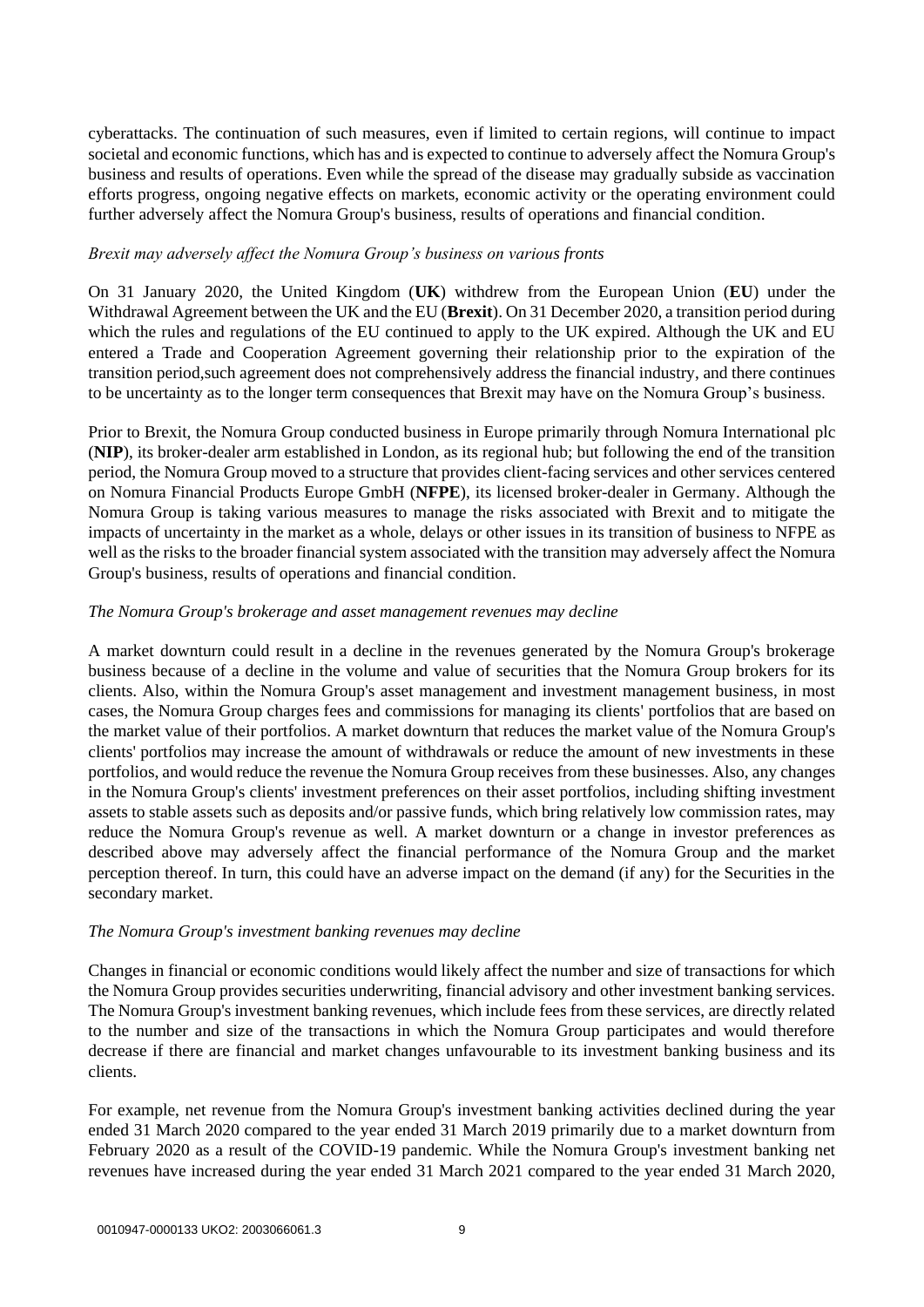cyberattacks. The continuation of such measures, even if limited to certain regions, will continue to impact societal and economic functions, which has and is expected to continue to adversely affect the Nomura Group's business and results of operations. Even while the spread of the disease may gradually subside as vaccination efforts progress, ongoing negative effects on markets, economic activity or the operating environment could further adversely affect the Nomura Group's business, results of operations and financial condition.

#### *Brexit may adversely affect the Nomura Group's business on various fronts*

On 31 January 2020, the United Kingdom (**UK**) withdrew from the European Union (**EU**) under the Withdrawal Agreement between the UK and the EU (**Brexit**). On 31 December 2020, a transition period during which the rules and regulations of the EU continued to apply to the UK expired. Although the UK and EU entered a Trade and Cooperation Agreement governing their relationship prior to the expiration of the transition period,such agreement does not comprehensively address the financial industry, and there continues to be uncertainty as to the longer term consequences that Brexit may have on the Nomura Group's business.

Prior to Brexit, the Nomura Group conducted business in Europe primarily through Nomura International plc (**NIP**), its broker-dealer arm established in London, as its regional hub; but following the end of the transition period, the Nomura Group moved to a structure that provides client-facing services and other services centered on Nomura Financial Products Europe GmbH (**NFPE**), its licensed broker-dealer in Germany. Although the Nomura Group is taking various measures to manage the risks associated with Brexit and to mitigate the impacts of uncertainty in the market as a whole, delays or other issues in its transition of business to NFPE as well as the risks to the broader financial system associated with the transition may adversely affect the Nomura Group's business, results of operations and financial condition.

#### *The Nomura Group's brokerage and asset management revenues may decline*

A market downturn could result in a decline in the revenues generated by the Nomura Group's brokerage business because of a decline in the volume and value of securities that the Nomura Group brokers for its clients. Also, within the Nomura Group's asset management and investment management business, in most cases, the Nomura Group charges fees and commissions for managing its clients' portfolios that are based on the market value of their portfolios. A market downturn that reduces the market value of the Nomura Group's clients' portfolios may increase the amount of withdrawals or reduce the amount of new investments in these portfolios, and would reduce the revenue the Nomura Group receives from these businesses. Also, any changes in the Nomura Group's clients' investment preferences on their asset portfolios, including shifting investment assets to stable assets such as deposits and/or passive funds, which bring relatively low commission rates, may reduce the Nomura Group's revenue as well. A market downturn or a change in investor preferences as described above may adversely affect the financial performance of the Nomura Group and the market perception thereof. In turn, this could have an adverse impact on the demand (if any) for the Securities in the secondary market.

## *The Nomura Group's investment banking revenues may decline*

Changes in financial or economic conditions would likely affect the number and size of transactions for which the Nomura Group provides securities underwriting, financial advisory and other investment banking services. The Nomura Group's investment banking revenues, which include fees from these services, are directly related to the number and size of the transactions in which the Nomura Group participates and would therefore decrease if there are financial and market changes unfavourable to its investment banking business and its clients.

For example, net revenue from the Nomura Group's investment banking activities declined during the year ended 31 March 2020 compared to the year ended 31 March 2019 primarily due to a market downturn from February 2020 as a result of the COVID-19 pandemic. While the Nomura Group's investment banking net revenues have increased during the year ended 31 March 2021 compared to the year ended 31 March 2020,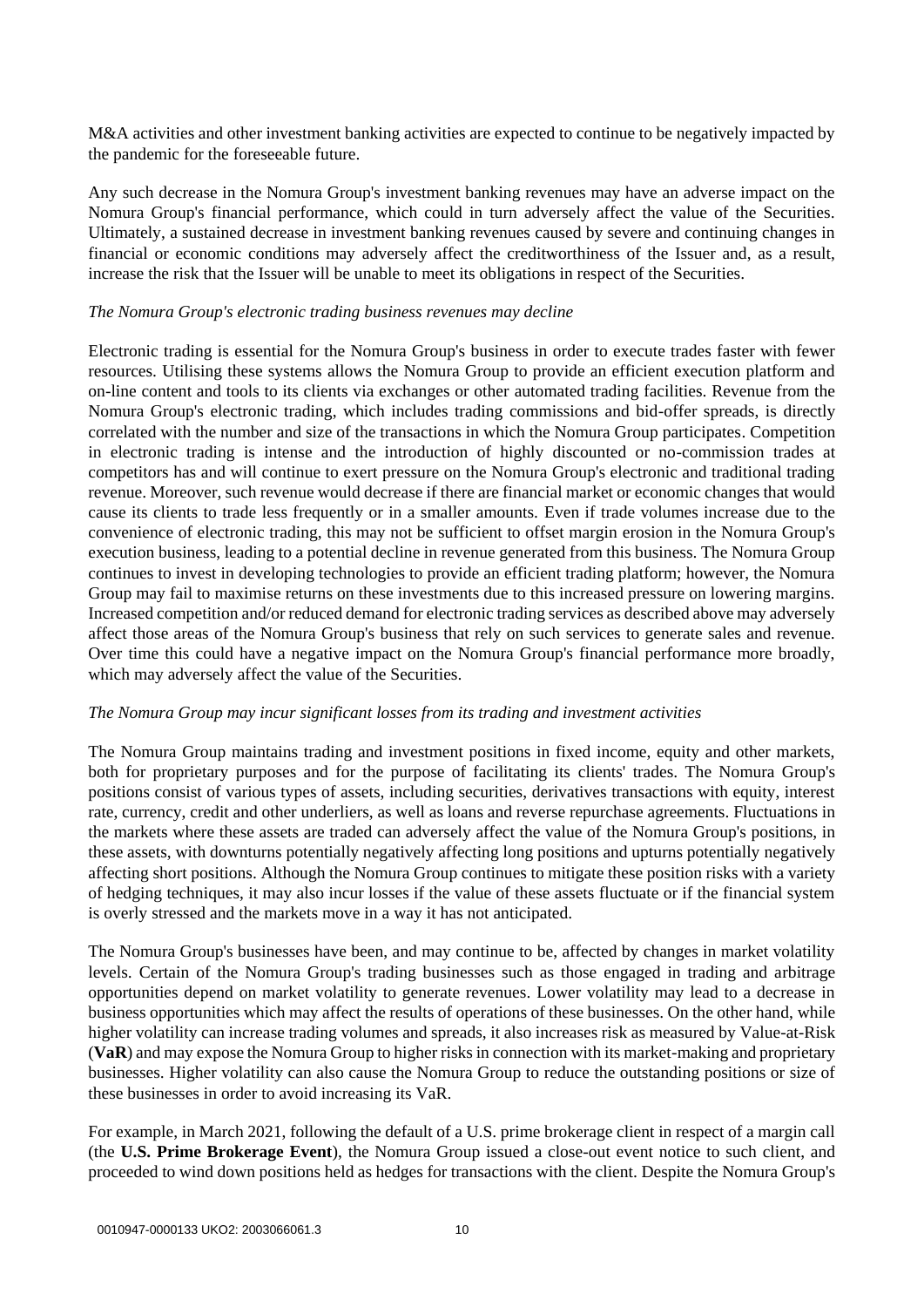M&A activities and other investment banking activities are expected to continue to be negatively impacted by the pandemic for the foreseeable future.

Any such decrease in the Nomura Group's investment banking revenues may have an adverse impact on the Nomura Group's financial performance, which could in turn adversely affect the value of the Securities. Ultimately, a sustained decrease in investment banking revenues caused by severe and continuing changes in financial or economic conditions may adversely affect the creditworthiness of the Issuer and, as a result, increase the risk that the Issuer will be unable to meet its obligations in respect of the Securities.

#### *The Nomura Group's electronic trading business revenues may decline*

Electronic trading is essential for the Nomura Group's business in order to execute trades faster with fewer resources. Utilising these systems allows the Nomura Group to provide an efficient execution platform and on-line content and tools to its clients via exchanges or other automated trading facilities. Revenue from the Nomura Group's electronic trading, which includes trading commissions and bid-offer spreads, is directly correlated with the number and size of the transactions in which the Nomura Group participates. Competition in electronic trading is intense and the introduction of highly discounted or no-commission trades at competitors has and will continue to exert pressure on the Nomura Group's electronic and traditional trading revenue. Moreover, such revenue would decrease if there are financial market or economic changes that would cause its clients to trade less frequently or in a smaller amounts. Even if trade volumes increase due to the convenience of electronic trading, this may not be sufficient to offset margin erosion in the Nomura Group's execution business, leading to a potential decline in revenue generated from this business. The Nomura Group continues to invest in developing technologies to provide an efficient trading platform; however, the Nomura Group may fail to maximise returns on these investments due to this increased pressure on lowering margins. Increased competition and/or reduced demand for electronic trading services as described above may adversely affect those areas of the Nomura Group's business that rely on such services to generate sales and revenue. Over time this could have a negative impact on the Nomura Group's financial performance more broadly, which may adversely affect the value of the Securities.

#### *The Nomura Group may incur significant losses from its trading and investment activities*

The Nomura Group maintains trading and investment positions in fixed income, equity and other markets, both for proprietary purposes and for the purpose of facilitating its clients' trades. The Nomura Group's positions consist of various types of assets, including securities, derivatives transactions with equity, interest rate, currency, credit and other underliers, as well as loans and reverse repurchase agreements. Fluctuations in the markets where these assets are traded can adversely affect the value of the Nomura Group's positions, in these assets, with downturns potentially negatively affecting long positions and upturns potentially negatively affecting short positions. Although the Nomura Group continues to mitigate these position risks with a variety of hedging techniques, it may also incur losses if the value of these assets fluctuate or if the financial system is overly stressed and the markets move in a way it has not anticipated.

The Nomura Group's businesses have been, and may continue to be, affected by changes in market volatility levels. Certain of the Nomura Group's trading businesses such as those engaged in trading and arbitrage opportunities depend on market volatility to generate revenues. Lower volatility may lead to a decrease in business opportunities which may affect the results of operations of these businesses. On the other hand, while higher volatility can increase trading volumes and spreads, it also increases risk as measured by Value-at-Risk (**VaR**) and may expose the Nomura Group to higher risks in connection with its market-making and proprietary businesses. Higher volatility can also cause the Nomura Group to reduce the outstanding positions or size of these businesses in order to avoid increasing its VaR.

For example, in March 2021, following the default of a U.S. prime brokerage client in respect of a margin call (the **U.S. Prime Brokerage Event**), the Nomura Group issued a close-out event notice to such client, and proceeded to wind down positions held as hedges for transactions with the client. Despite the Nomura Group's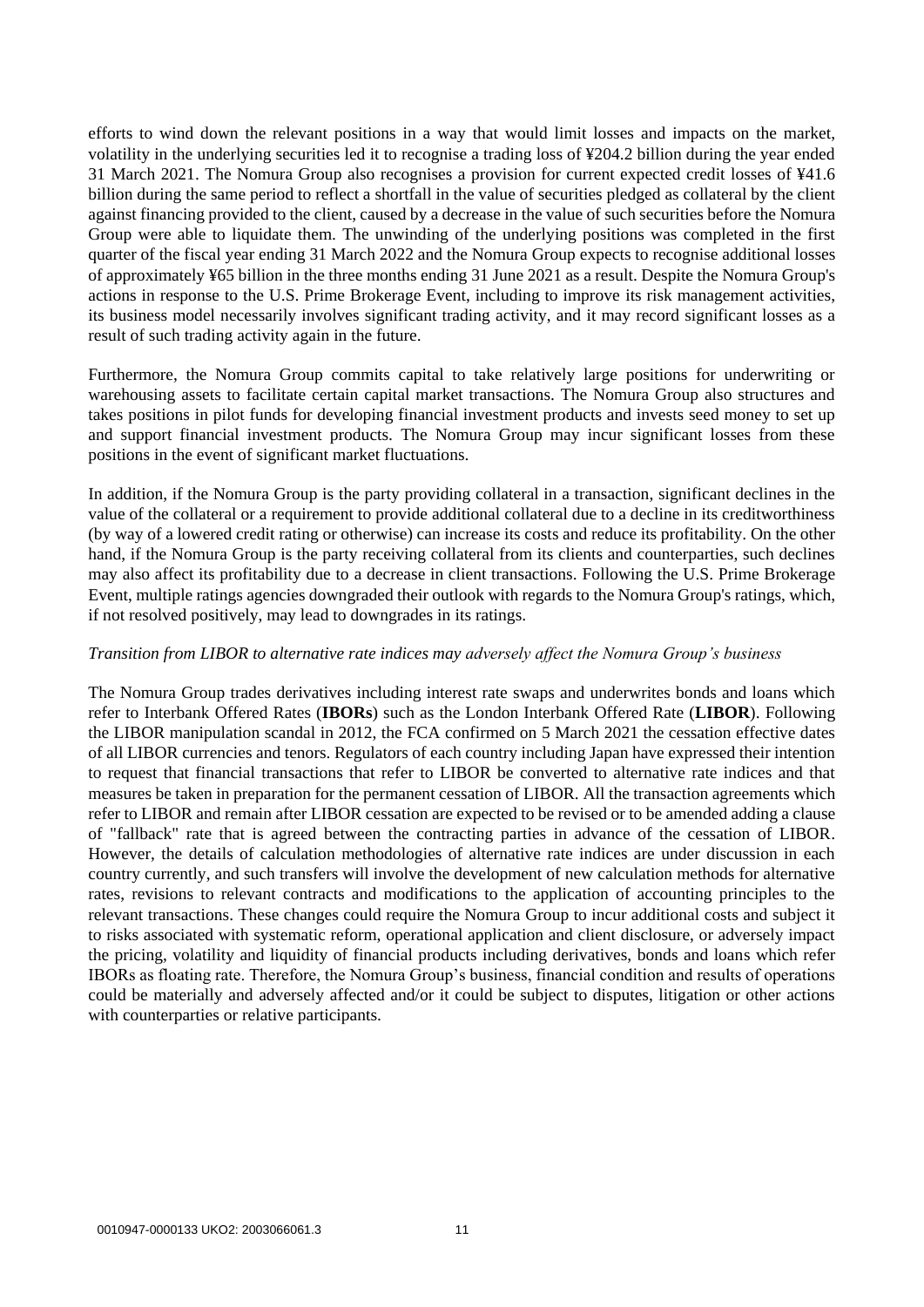efforts to wind down the relevant positions in a way that would limit losses and impacts on the market, volatility in the underlying securities led it to recognise a trading loss of ¥204.2 billion during the year ended 31 March 2021. The Nomura Group also recognises a provision for current expected credit losses of ¥41.6 billion during the same period to reflect a shortfall in the value of securities pledged as collateral by the client against financing provided to the client, caused by a decrease in the value of such securities before the Nomura Group were able to liquidate them. The unwinding of the underlying positions was completed in the first quarter of the fiscal year ending 31 March 2022 and the Nomura Group expects to recognise additional losses of approximately ¥65 billion in the three months ending 31 June 2021 as a result. Despite the Nomura Group's actions in response to the U.S. Prime Brokerage Event, including to improve its risk management activities, its business model necessarily involves significant trading activity, and it may record significant losses as a result of such trading activity again in the future.

Furthermore, the Nomura Group commits capital to take relatively large positions for underwriting or warehousing assets to facilitate certain capital market transactions. The Nomura Group also structures and takes positions in pilot funds for developing financial investment products and invests seed money to set up and support financial investment products. The Nomura Group may incur significant losses from these positions in the event of significant market fluctuations.

In addition, if the Nomura Group is the party providing collateral in a transaction, significant declines in the value of the collateral or a requirement to provide additional collateral due to a decline in its creditworthiness (by way of a lowered credit rating or otherwise) can increase its costs and reduce its profitability. On the other hand, if the Nomura Group is the party receiving collateral from its clients and counterparties, such declines may also affect its profitability due to a decrease in client transactions. Following the U.S. Prime Brokerage Event, multiple ratings agencies downgraded their outlook with regards to the Nomura Group's ratings, which, if not resolved positively, may lead to downgrades in its ratings.

#### *Transition from LIBOR to alternative rate indices may adversely affect the Nomura Group's business*

The Nomura Group trades derivatives including interest rate swaps and underwrites bonds and loans which refer to Interbank Offered Rates (**IBORs**) such as the London Interbank Offered Rate (**LIBOR**). Following the LIBOR manipulation scandal in 2012, the FCA confirmed on 5 March 2021 the cessation effective dates of all LIBOR currencies and tenors. Regulators of each country including Japan have expressed their intention to request that financial transactions that refer to LIBOR be converted to alternative rate indices and that measures be taken in preparation for the permanent cessation of LIBOR. All the transaction agreements which refer to LIBOR and remain after LIBOR cessation are expected to be revised or to be amended adding a clause of "fallback" rate that is agreed between the contracting parties in advance of the cessation of LIBOR. However, the details of calculation methodologies of alternative rate indices are under discussion in each country currently, and such transfers will involve the development of new calculation methods for alternative rates, revisions to relevant contracts and modifications to the application of accounting principles to the relevant transactions. These changes could require the Nomura Group to incur additional costs and subject it to risks associated with systematic reform, operational application and client disclosure, or adversely impact the pricing, volatility and liquidity of financial products including derivatives, bonds and loans which refer IBORs as floating rate. Therefore, the Nomura Group's business, financial condition and results of operations could be materially and adversely affected and/or it could be subject to disputes, litigation or other actions with counterparties or relative participants.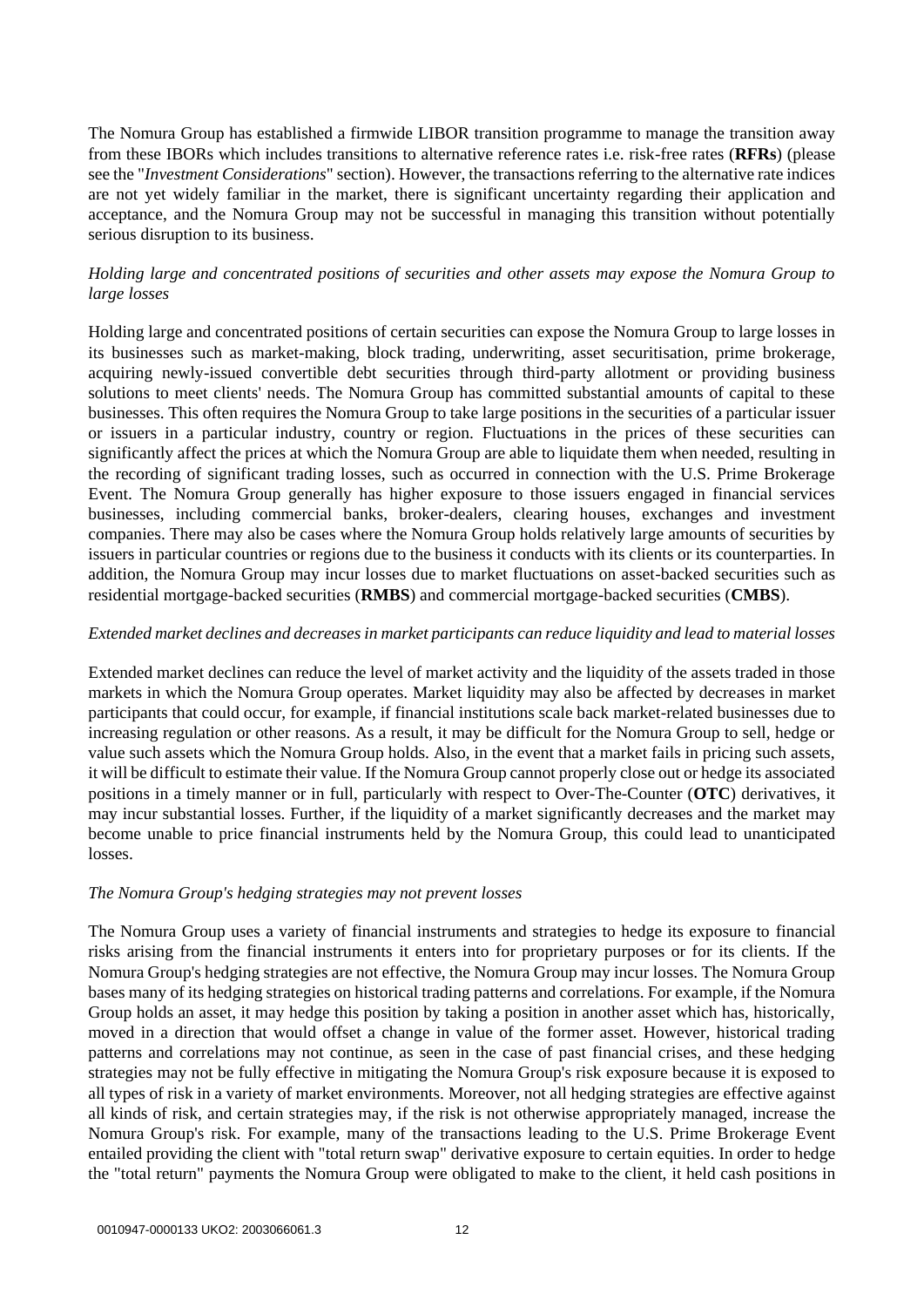The Nomura Group has established a firmwide LIBOR transition programme to manage the transition away from these IBORs which includes transitions to alternative reference rates i.e. risk-free rates (**RFRs**) (please see the "*Investment Considerations*" section). However, the transactions referring to the alternative rate indices are not yet widely familiar in the market, there is significant uncertainty regarding their application and acceptance, and the Nomura Group may not be successful in managing this transition without potentially serious disruption to its business.

## *Holding large and concentrated positions of securities and other assets may expose the Nomura Group to large losses*

Holding large and concentrated positions of certain securities can expose the Nomura Group to large losses in its businesses such as market-making, block trading, underwriting, asset securitisation, prime brokerage, acquiring newly-issued convertible debt securities through third-party allotment or providing business solutions to meet clients' needs. The Nomura Group has committed substantial amounts of capital to these businesses. This often requires the Nomura Group to take large positions in the securities of a particular issuer or issuers in a particular industry, country or region. Fluctuations in the prices of these securities can significantly affect the prices at which the Nomura Group are able to liquidate them when needed, resulting in the recording of significant trading losses, such as occurred in connection with the U.S. Prime Brokerage Event. The Nomura Group generally has higher exposure to those issuers engaged in financial services businesses, including commercial banks, broker-dealers, clearing houses, exchanges and investment companies. There may also be cases where the Nomura Group holds relatively large amounts of securities by issuers in particular countries or regions due to the business it conducts with its clients or its counterparties. In addition, the Nomura Group may incur losses due to market fluctuations on asset-backed securities such as residential mortgage-backed securities (**RMBS**) and commercial mortgage-backed securities (**CMBS**).

#### *Extended market declines and decreases in market participants can reduce liquidity and lead to material losses*

Extended market declines can reduce the level of market activity and the liquidity of the assets traded in those markets in which the Nomura Group operates. Market liquidity may also be affected by decreases in market participants that could occur, for example, if financial institutions scale back market-related businesses due to increasing regulation or other reasons. As a result, it may be difficult for the Nomura Group to sell, hedge or value such assets which the Nomura Group holds. Also, in the event that a market fails in pricing such assets, it will be difficult to estimate their value. If the Nomura Group cannot properly close out or hedge its associated positions in a timely manner or in full, particularly with respect to Over-The-Counter (**OTC**) derivatives, it may incur substantial losses. Further, if the liquidity of a market significantly decreases and the market may become unable to price financial instruments held by the Nomura Group, this could lead to unanticipated losses.

#### *The Nomura Group's hedging strategies may not prevent losses*

The Nomura Group uses a variety of financial instruments and strategies to hedge its exposure to financial risks arising from the financial instruments it enters into for proprietary purposes or for its clients. If the Nomura Group's hedging strategies are not effective, the Nomura Group may incur losses. The Nomura Group bases many of its hedging strategies on historical trading patterns and correlations. For example, if the Nomura Group holds an asset, it may hedge this position by taking a position in another asset which has, historically, moved in a direction that would offset a change in value of the former asset. However, historical trading patterns and correlations may not continue, as seen in the case of past financial crises, and these hedging strategies may not be fully effective in mitigating the Nomura Group's risk exposure because it is exposed to all types of risk in a variety of market environments. Moreover, not all hedging strategies are effective against all kinds of risk, and certain strategies may, if the risk is not otherwise appropriately managed, increase the Nomura Group's risk. For example, many of the transactions leading to the U.S. Prime Brokerage Event entailed providing the client with "total return swap" derivative exposure to certain equities. In order to hedge the "total return" payments the Nomura Group were obligated to make to the client, it held cash positions in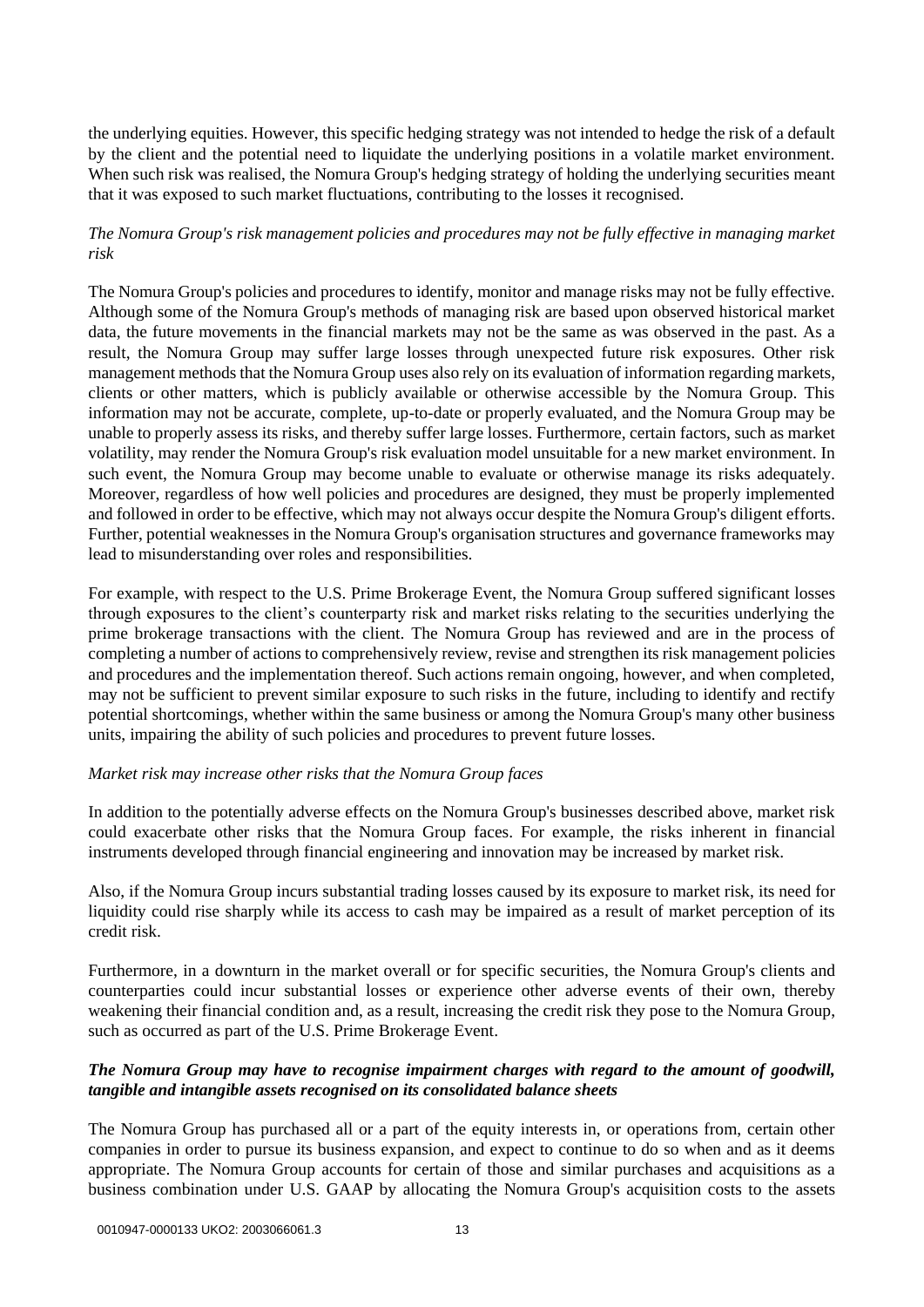the underlying equities. However, this specific hedging strategy was not intended to hedge the risk of a default by the client and the potential need to liquidate the underlying positions in a volatile market environment. When such risk was realised, the Nomura Group's hedging strategy of holding the underlying securities meant that it was exposed to such market fluctuations, contributing to the losses it recognised.

# *The Nomura Group's risk management policies and procedures may not be fully effective in managing market risk*

The Nomura Group's policies and procedures to identify, monitor and manage risks may not be fully effective. Although some of the Nomura Group's methods of managing risk are based upon observed historical market data, the future movements in the financial markets may not be the same as was observed in the past. As a result, the Nomura Group may suffer large losses through unexpected future risk exposures. Other risk management methods that the Nomura Group uses also rely on its evaluation of information regarding markets, clients or other matters, which is publicly available or otherwise accessible by the Nomura Group. This information may not be accurate, complete, up-to-date or properly evaluated, and the Nomura Group may be unable to properly assess its risks, and thereby suffer large losses. Furthermore, certain factors, such as market volatility, may render the Nomura Group's risk evaluation model unsuitable for a new market environment. In such event, the Nomura Group may become unable to evaluate or otherwise manage its risks adequately. Moreover, regardless of how well policies and procedures are designed, they must be properly implemented and followed in order to be effective, which may not always occur despite the Nomura Group's diligent efforts. Further, potential weaknesses in the Nomura Group's organisation structures and governance frameworks may lead to misunderstanding over roles and responsibilities.

For example, with respect to the U.S. Prime Brokerage Event, the Nomura Group suffered significant losses through exposures to the client's counterparty risk and market risks relating to the securities underlying the prime brokerage transactions with the client. The Nomura Group has reviewed and are in the process of completing a number of actions to comprehensively review, revise and strengthen its risk management policies and procedures and the implementation thereof. Such actions remain ongoing, however, and when completed, may not be sufficient to prevent similar exposure to such risks in the future, including to identify and rectify potential shortcomings, whether within the same business or among the Nomura Group's many other business units, impairing the ability of such policies and procedures to prevent future losses.

## *Market risk may increase other risks that the Nomura Group faces*

In addition to the potentially adverse effects on the Nomura Group's businesses described above, market risk could exacerbate other risks that the Nomura Group faces. For example, the risks inherent in financial instruments developed through financial engineering and innovation may be increased by market risk.

Also, if the Nomura Group incurs substantial trading losses caused by its exposure to market risk, its need for liquidity could rise sharply while its access to cash may be impaired as a result of market perception of its credit risk.

Furthermore, in a downturn in the market overall or for specific securities, the Nomura Group's clients and counterparties could incur substantial losses or experience other adverse events of their own, thereby weakening their financial condition and, as a result, increasing the credit risk they pose to the Nomura Group, such as occurred as part of the U.S. Prime Brokerage Event.

## *The Nomura Group may have to recognise impairment charges with regard to the amount of goodwill, tangible and intangible assets recognised on its consolidated balance sheets*

The Nomura Group has purchased all or a part of the equity interests in, or operations from, certain other companies in order to pursue its business expansion, and expect to continue to do so when and as it deems appropriate. The Nomura Group accounts for certain of those and similar purchases and acquisitions as a business combination under U.S. GAAP by allocating the Nomura Group's acquisition costs to the assets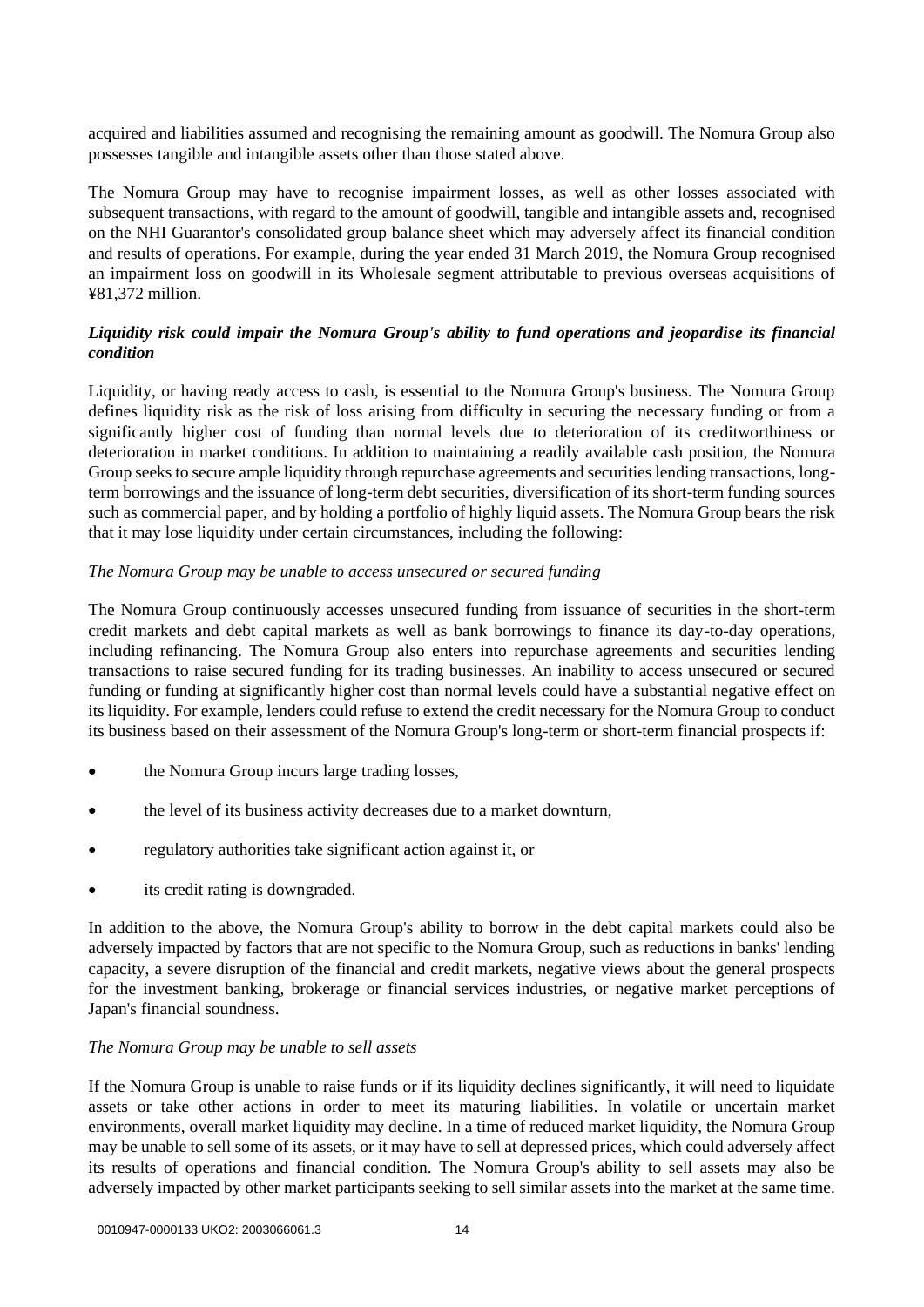acquired and liabilities assumed and recognising the remaining amount as goodwill. The Nomura Group also possesses tangible and intangible assets other than those stated above.

The Nomura Group may have to recognise impairment losses, as well as other losses associated with subsequent transactions, with regard to the amount of goodwill, tangible and intangible assets and, recognised on the NHI Guarantor's consolidated group balance sheet which may adversely affect its financial condition and results of operations. For example, during the year ended 31 March 2019, the Nomura Group recognised an impairment loss on goodwill in its Wholesale segment attributable to previous overseas acquisitions of ¥81,372 million.

# *Liquidity risk could impair the Nomura Group's ability to fund operations and jeopardise its financial condition*

Liquidity, or having ready access to cash, is essential to the Nomura Group's business. The Nomura Group defines liquidity risk as the risk of loss arising from difficulty in securing the necessary funding or from a significantly higher cost of funding than normal levels due to deterioration of its creditworthiness or deterioration in market conditions. In addition to maintaining a readily available cash position, the Nomura Group seeks to secure ample liquidity through repurchase agreements and securities lending transactions, longterm borrowings and the issuance of long-term debt securities, diversification of its short-term funding sources such as commercial paper, and by holding a portfolio of highly liquid assets. The Nomura Group bears the risk that it may lose liquidity under certain circumstances, including the following:

## *The Nomura Group may be unable to access unsecured or secured funding*

The Nomura Group continuously accesses unsecured funding from issuance of securities in the short-term credit markets and debt capital markets as well as bank borrowings to finance its day-to-day operations, including refinancing. The Nomura Group also enters into repurchase agreements and securities lending transactions to raise secured funding for its trading businesses. An inability to access unsecured or secured funding or funding at significantly higher cost than normal levels could have a substantial negative effect on its liquidity. For example, lenders could refuse to extend the credit necessary for the Nomura Group to conduct its business based on their assessment of the Nomura Group's long-term or short-term financial prospects if:

- the Nomura Group incurs large trading losses,
- the level of its business activity decreases due to a market downturn,
- regulatory authorities take significant action against it, or
- its credit rating is downgraded.

In addition to the above, the Nomura Group's ability to borrow in the debt capital markets could also be adversely impacted by factors that are not specific to the Nomura Group, such as reductions in banks' lending capacity, a severe disruption of the financial and credit markets, negative views about the general prospects for the investment banking, brokerage or financial services industries, or negative market perceptions of Japan's financial soundness.

## *The Nomura Group may be unable to sell assets*

If the Nomura Group is unable to raise funds or if its liquidity declines significantly, it will need to liquidate assets or take other actions in order to meet its maturing liabilities. In volatile or uncertain market environments, overall market liquidity may decline. In a time of reduced market liquidity, the Nomura Group may be unable to sell some of its assets, or it may have to sell at depressed prices, which could adversely affect its results of operations and financial condition. The Nomura Group's ability to sell assets may also be adversely impacted by other market participants seeking to sell similar assets into the market at the same time.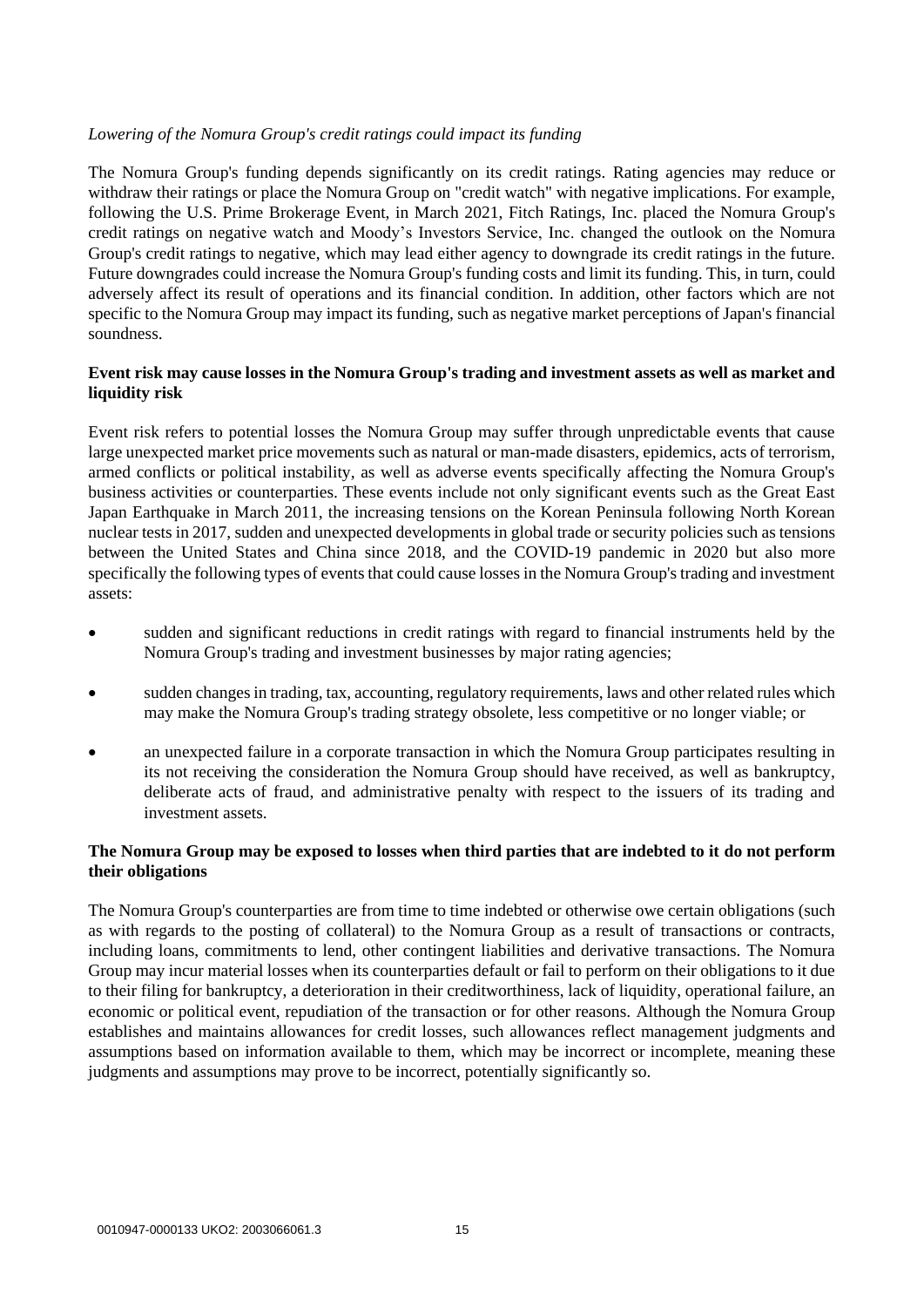## *Lowering of the Nomura Group's credit ratings could impact its funding*

The Nomura Group's funding depends significantly on its credit ratings. Rating agencies may reduce or withdraw their ratings or place the Nomura Group on "credit watch" with negative implications. For example, following the U.S. Prime Brokerage Event, in March 2021, Fitch Ratings, Inc. placed the Nomura Group's credit ratings on negative watch and Moody's Investors Service, Inc. changed the outlook on the Nomura Group's credit ratings to negative, which may lead either agency to downgrade its credit ratings in the future. Future downgrades could increase the Nomura Group's funding costs and limit its funding. This, in turn, could adversely affect its result of operations and its financial condition. In addition, other factors which are not specific to the Nomura Group may impact its funding, such as negative market perceptions of Japan's financial soundness.

## **Event risk may cause losses in the Nomura Group's trading and investment assets as well as market and liquidity risk**

Event risk refers to potential losses the Nomura Group may suffer through unpredictable events that cause large unexpected market price movements such as natural or man-made disasters, epidemics, acts of terrorism, armed conflicts or political instability, as well as adverse events specifically affecting the Nomura Group's business activities or counterparties. These events include not only significant events such as the Great East Japan Earthquake in March 2011, the increasing tensions on the Korean Peninsula following North Korean nuclear tests in 2017, sudden and unexpected developments in global trade or security policies such as tensions between the United States and China since 2018, and the COVID-19 pandemic in 2020 but also more specifically the following types of events that could cause losses in the Nomura Group's trading and investment assets:

- sudden and significant reductions in credit ratings with regard to financial instruments held by the Nomura Group's trading and investment businesses by major rating agencies;
- sudden changes in trading, tax, accounting, regulatory requirements, laws and other related rules which may make the Nomura Group's trading strategy obsolete, less competitive or no longer viable; or
- an unexpected failure in a corporate transaction in which the Nomura Group participates resulting in its not receiving the consideration the Nomura Group should have received, as well as bankruptcy, deliberate acts of fraud, and administrative penalty with respect to the issuers of its trading and investment assets.

## **The Nomura Group may be exposed to losses when third parties that are indebted to it do not perform their obligations**

The Nomura Group's counterparties are from time to time indebted or otherwise owe certain obligations (such as with regards to the posting of collateral) to the Nomura Group as a result of transactions or contracts, including loans, commitments to lend, other contingent liabilities and derivative transactions. The Nomura Group may incur material losses when its counterparties default or fail to perform on their obligations to it due to their filing for bankruptcy, a deterioration in their creditworthiness, lack of liquidity, operational failure, an economic or political event, repudiation of the transaction or for other reasons. Although the Nomura Group establishes and maintains allowances for credit losses, such allowances reflect management judgments and assumptions based on information available to them, which may be incorrect or incomplete, meaning these judgments and assumptions may prove to be incorrect, potentially significantly so.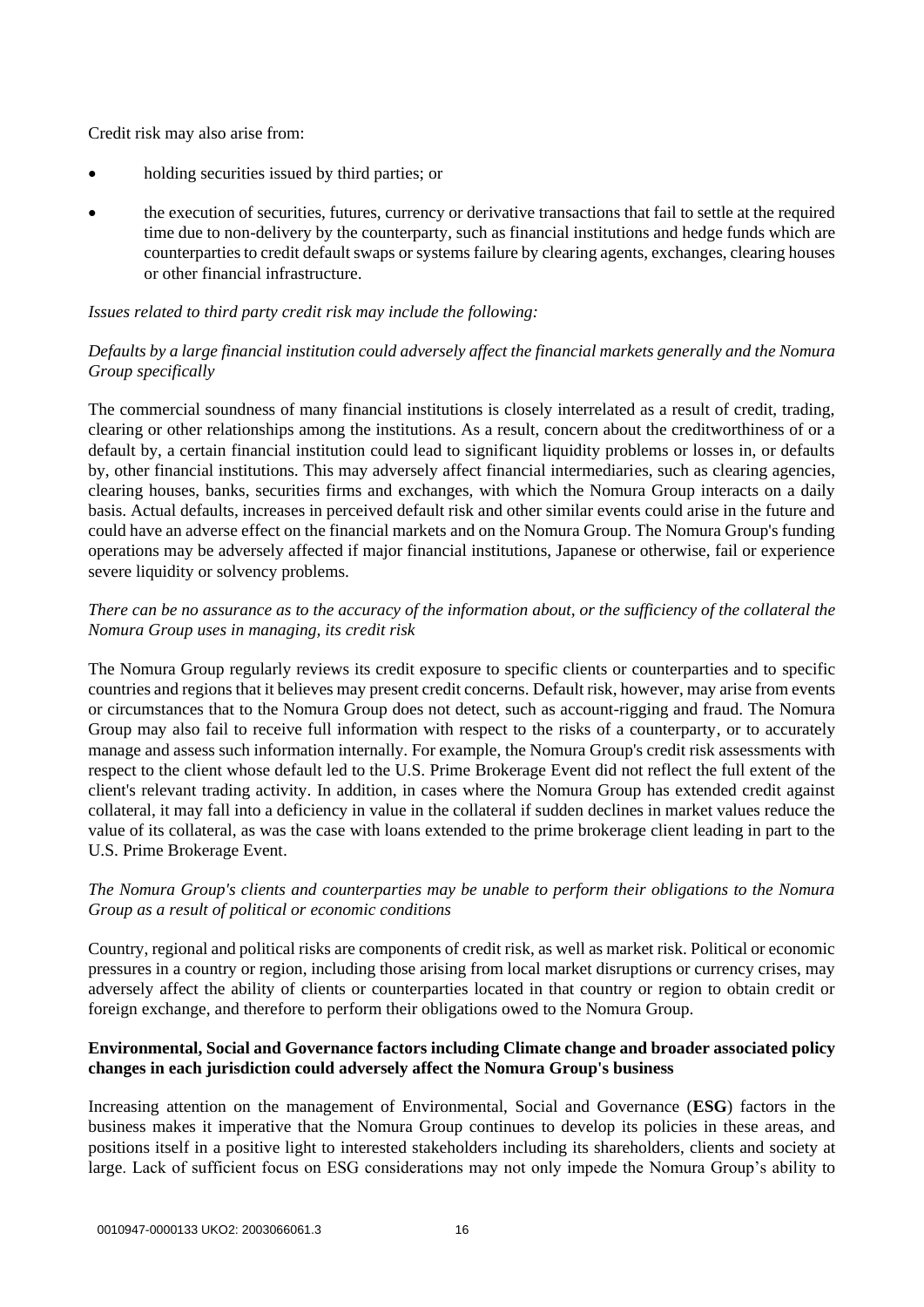Credit risk may also arise from:

- holding securities issued by third parties; or
- the execution of securities, futures, currency or derivative transactions that fail to settle at the required time due to non-delivery by the counterparty, such as financial institutions and hedge funds which are counterparties to credit default swaps or systems failure by clearing agents, exchanges, clearing houses or other financial infrastructure.

## *Issues related to third party credit risk may include the following:*

# *Defaults by a large financial institution could adversely affect the financial markets generally and the Nomura Group specifically*

The commercial soundness of many financial institutions is closely interrelated as a result of credit, trading, clearing or other relationships among the institutions. As a result, concern about the creditworthiness of or a default by, a certain financial institution could lead to significant liquidity problems or losses in, or defaults by, other financial institutions. This may adversely affect financial intermediaries, such as clearing agencies, clearing houses, banks, securities firms and exchanges, with which the Nomura Group interacts on a daily basis. Actual defaults, increases in perceived default risk and other similar events could arise in the future and could have an adverse effect on the financial markets and on the Nomura Group. The Nomura Group's funding operations may be adversely affected if major financial institutions, Japanese or otherwise, fail or experience severe liquidity or solvency problems.

# *There can be no assurance as to the accuracy of the information about, or the sufficiency of the collateral the Nomura Group uses in managing, its credit risk*

The Nomura Group regularly reviews its credit exposure to specific clients or counterparties and to specific countries and regions that it believes may present credit concerns. Default risk, however, may arise from events or circumstances that to the Nomura Group does not detect, such as account-rigging and fraud. The Nomura Group may also fail to receive full information with respect to the risks of a counterparty, or to accurately manage and assess such information internally. For example, the Nomura Group's credit risk assessments with respect to the client whose default led to the U.S. Prime Brokerage Event did not reflect the full extent of the client's relevant trading activity. In addition, in cases where the Nomura Group has extended credit against collateral, it may fall into a deficiency in value in the collateral if sudden declines in market values reduce the value of its collateral, as was the case with loans extended to the prime brokerage client leading in part to the U.S. Prime Brokerage Event.

# *The Nomura Group's clients and counterparties may be unable to perform their obligations to the Nomura Group as a result of political or economic conditions*

Country, regional and political risks are components of credit risk, as well as market risk. Political or economic pressures in a country or region, including those arising from local market disruptions or currency crises, may adversely affect the ability of clients or counterparties located in that country or region to obtain credit or foreign exchange, and therefore to perform their obligations owed to the Nomura Group.

# **Environmental, Social and Governance factors including Climate change and broader associated policy changes in each jurisdiction could adversely affect the Nomura Group's business**

Increasing attention on the management of Environmental, Social and Governance (**ESG**) factors in the business makes it imperative that the Nomura Group continues to develop its policies in these areas, and positions itself in a positive light to interested stakeholders including its shareholders, clients and society at large. Lack of sufficient focus on ESG considerations may not only impede the Nomura Group's ability to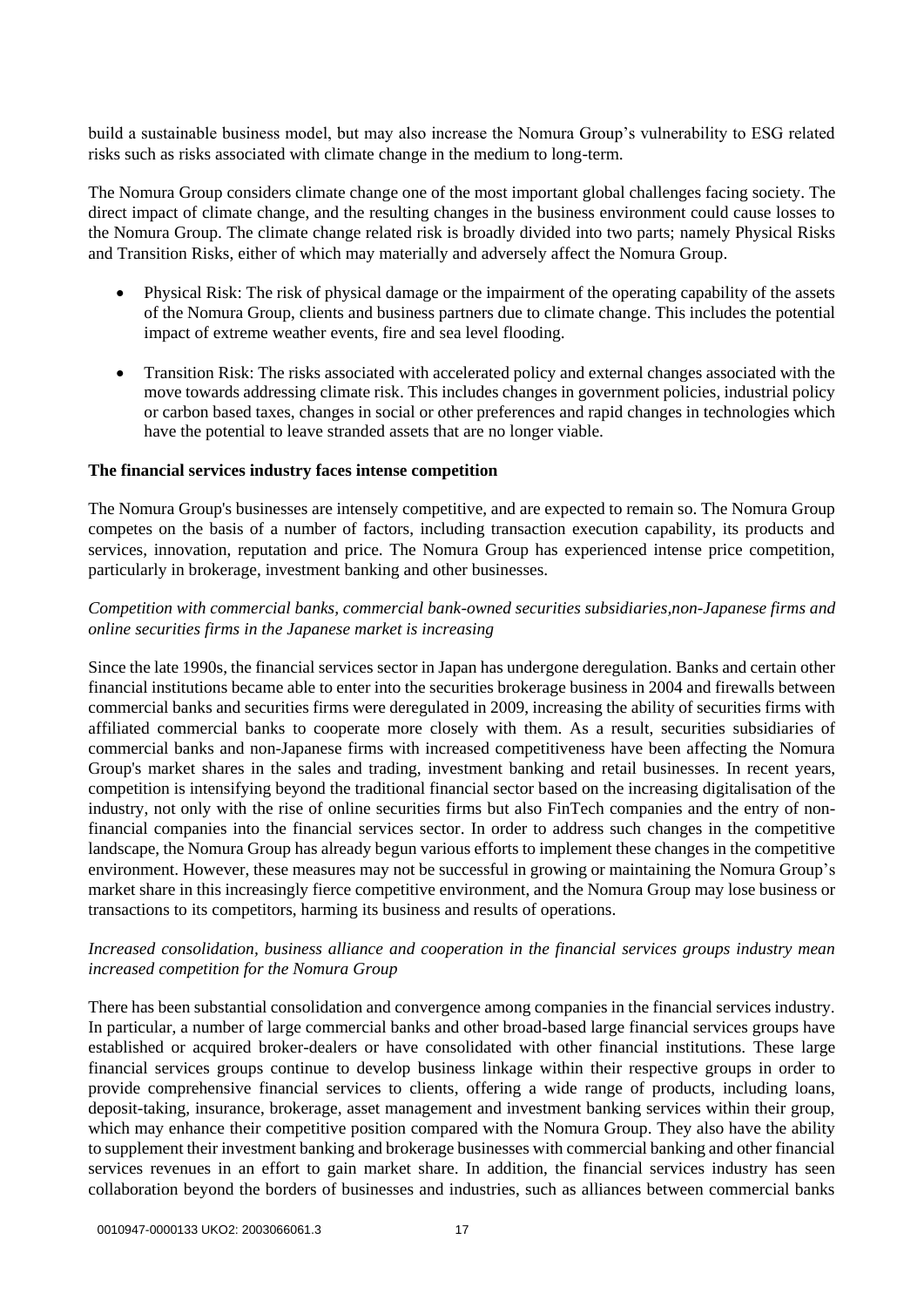build a sustainable business model, but may also increase the Nomura Group's vulnerability to ESG related risks such as risks associated with climate change in the medium to long-term.

The Nomura Group considers climate change one of the most important global challenges facing society. The direct impact of climate change, and the resulting changes in the business environment could cause losses to the Nomura Group. The climate change related risk is broadly divided into two parts; namely Physical Risks and Transition Risks, either of which may materially and adversely affect the Nomura Group.

- Physical Risk: The risk of physical damage or the impairment of the operating capability of the assets of the Nomura Group, clients and business partners due to climate change. This includes the potential impact of extreme weather events, fire and sea level flooding.
- Transition Risk: The risks associated with accelerated policy and external changes associated with the move towards addressing climate risk. This includes changes in government policies, industrial policy or carbon based taxes, changes in social or other preferences and rapid changes in technologies which have the potential to leave stranded assets that are no longer viable.

#### **The financial services industry faces intense competition**

The Nomura Group's businesses are intensely competitive, and are expected to remain so. The Nomura Group competes on the basis of a number of factors, including transaction execution capability, its products and services, innovation, reputation and price. The Nomura Group has experienced intense price competition, particularly in brokerage, investment banking and other businesses.

## *Competition with commercial banks, commercial bank-owned securities subsidiaries,non-Japanese firms and online securities firms in the Japanese market is increasing*

Since the late 1990s, the financial services sector in Japan has undergone deregulation. Banks and certain other financial institutions became able to enter into the securities brokerage business in 2004 and firewalls between commercial banks and securities firms were deregulated in 2009, increasing the ability of securities firms with affiliated commercial banks to cooperate more closely with them. As a result, securities subsidiaries of commercial banks and non-Japanese firms with increased competitiveness have been affecting the Nomura Group's market shares in the sales and trading, investment banking and retail businesses. In recent years, competition is intensifying beyond the traditional financial sector based on the increasing digitalisation of the industry, not only with the rise of online securities firms but also FinTech companies and the entry of nonfinancial companies into the financial services sector. In order to address such changes in the competitive landscape, the Nomura Group has already begun various efforts to implement these changes in the competitive environment. However, these measures may not be successful in growing or maintaining the Nomura Group's market share in this increasingly fierce competitive environment, and the Nomura Group may lose business or transactions to its competitors, harming its business and results of operations.

## *Increased consolidation, business alliance and cooperation in the financial services groups industry mean increased competition for the Nomura Group*

There has been substantial consolidation and convergence among companies in the financial services industry. In particular, a number of large commercial banks and other broad-based large financial services groups have established or acquired broker-dealers or have consolidated with other financial institutions. These large financial services groups continue to develop business linkage within their respective groups in order to provide comprehensive financial services to clients, offering a wide range of products, including loans, deposit-taking, insurance, brokerage, asset management and investment banking services within their group, which may enhance their competitive position compared with the Nomura Group. They also have the ability to supplement their investment banking and brokerage businesses with commercial banking and other financial services revenues in an effort to gain market share. In addition, the financial services industry has seen collaboration beyond the borders of businesses and industries, such as alliances between commercial banks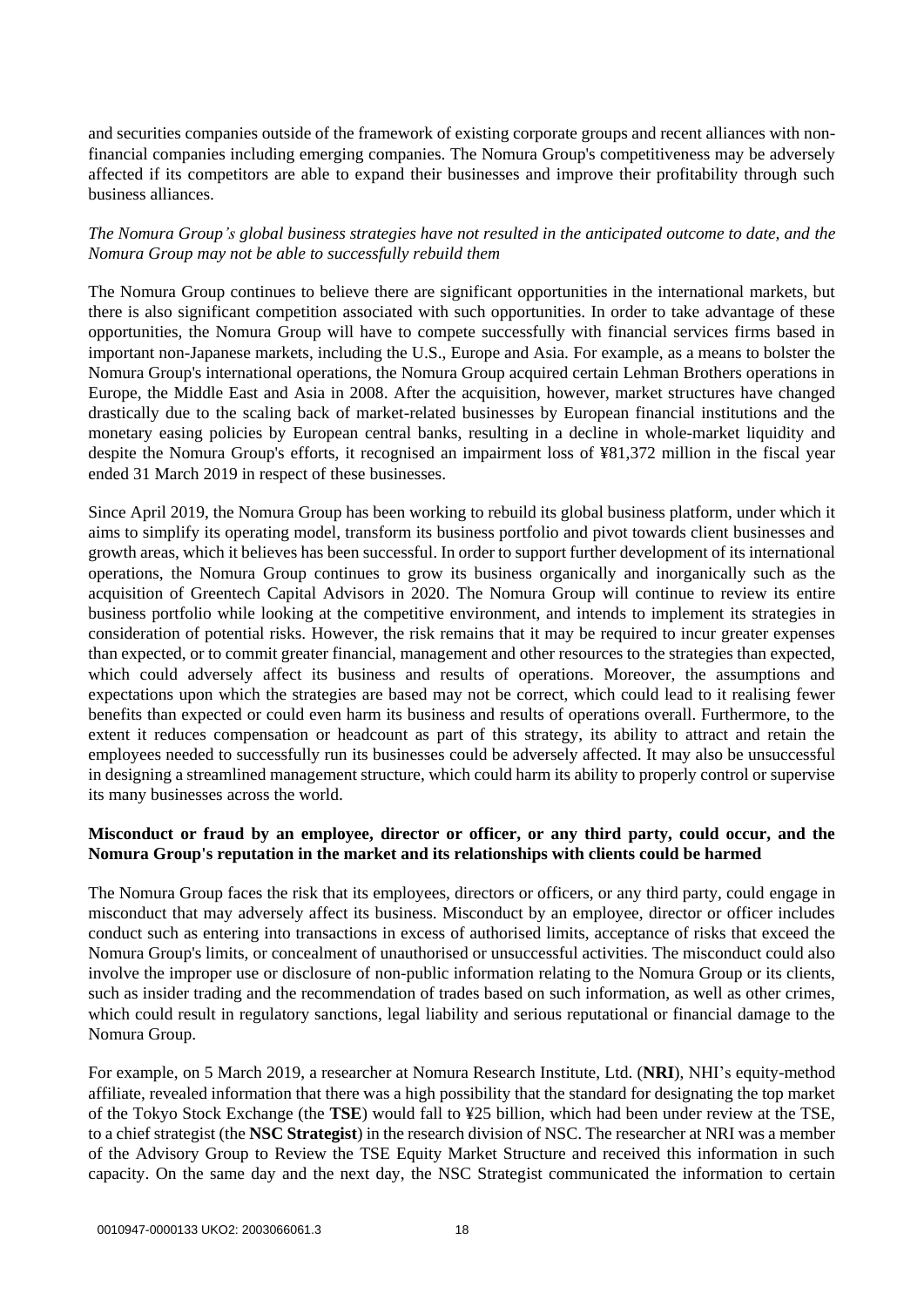and securities companies outside of the framework of existing corporate groups and recent alliances with nonfinancial companies including emerging companies. The Nomura Group's competitiveness may be adversely affected if its competitors are able to expand their businesses and improve their profitability through such business alliances.

## *The Nomura Group's global business strategies have not resulted in the anticipated outcome to date, and the Nomura Group may not be able to successfully rebuild them*

The Nomura Group continues to believe there are significant opportunities in the international markets, but there is also significant competition associated with such opportunities. In order to take advantage of these opportunities, the Nomura Group will have to compete successfully with financial services firms based in important non-Japanese markets, including the U.S., Europe and Asia. For example, as a means to bolster the Nomura Group's international operations, the Nomura Group acquired certain Lehman Brothers operations in Europe, the Middle East and Asia in 2008. After the acquisition, however, market structures have changed drastically due to the scaling back of market-related businesses by European financial institutions and the monetary easing policies by European central banks, resulting in a decline in whole-market liquidity and despite the Nomura Group's efforts, it recognised an impairment loss of ¥81,372 million in the fiscal year ended 31 March 2019 in respect of these businesses.

Since April 2019, the Nomura Group has been working to rebuild its global business platform, under which it aims to simplify its operating model, transform its business portfolio and pivot towards client businesses and growth areas, which it believes has been successful. In order to support further development of its international operations, the Nomura Group continues to grow its business organically and inorganically such as the acquisition of Greentech Capital Advisors in 2020. The Nomura Group will continue to review its entire business portfolio while looking at the competitive environment, and intends to implement its strategies in consideration of potential risks. However, the risk remains that it may be required to incur greater expenses than expected, or to commit greater financial, management and other resources to the strategies than expected, which could adversely affect its business and results of operations. Moreover, the assumptions and expectations upon which the strategies are based may not be correct, which could lead to it realising fewer benefits than expected or could even harm its business and results of operations overall. Furthermore, to the extent it reduces compensation or headcount as part of this strategy, its ability to attract and retain the employees needed to successfully run its businesses could be adversely affected. It may also be unsuccessful in designing a streamlined management structure, which could harm its ability to properly control or supervise its many businesses across the world.

## **Misconduct or fraud by an employee, director or officer, or any third party, could occur, and the Nomura Group's reputation in the market and its relationships with clients could be harmed**

The Nomura Group faces the risk that its employees, directors or officers, or any third party, could engage in misconduct that may adversely affect its business. Misconduct by an employee, director or officer includes conduct such as entering into transactions in excess of authorised limits, acceptance of risks that exceed the Nomura Group's limits, or concealment of unauthorised or unsuccessful activities. The misconduct could also involve the improper use or disclosure of non-public information relating to the Nomura Group or its clients, such as insider trading and the recommendation of trades based on such information, as well as other crimes, which could result in regulatory sanctions, legal liability and serious reputational or financial damage to the Nomura Group.

For example, on 5 March 2019, a researcher at Nomura Research Institute, Ltd. (**NRI**), NHI's equity-method affiliate, revealed information that there was a high possibility that the standard for designating the top market of the Tokyo Stock Exchange (the **TSE**) would fall to ¥25 billion, which had been under review at the TSE, to a chief strategist (the **NSC Strategist**) in the research division of NSC. The researcher at NRI was a member of the Advisory Group to Review the TSE Equity Market Structure and received this information in such capacity. On the same day and the next day, the NSC Strategist communicated the information to certain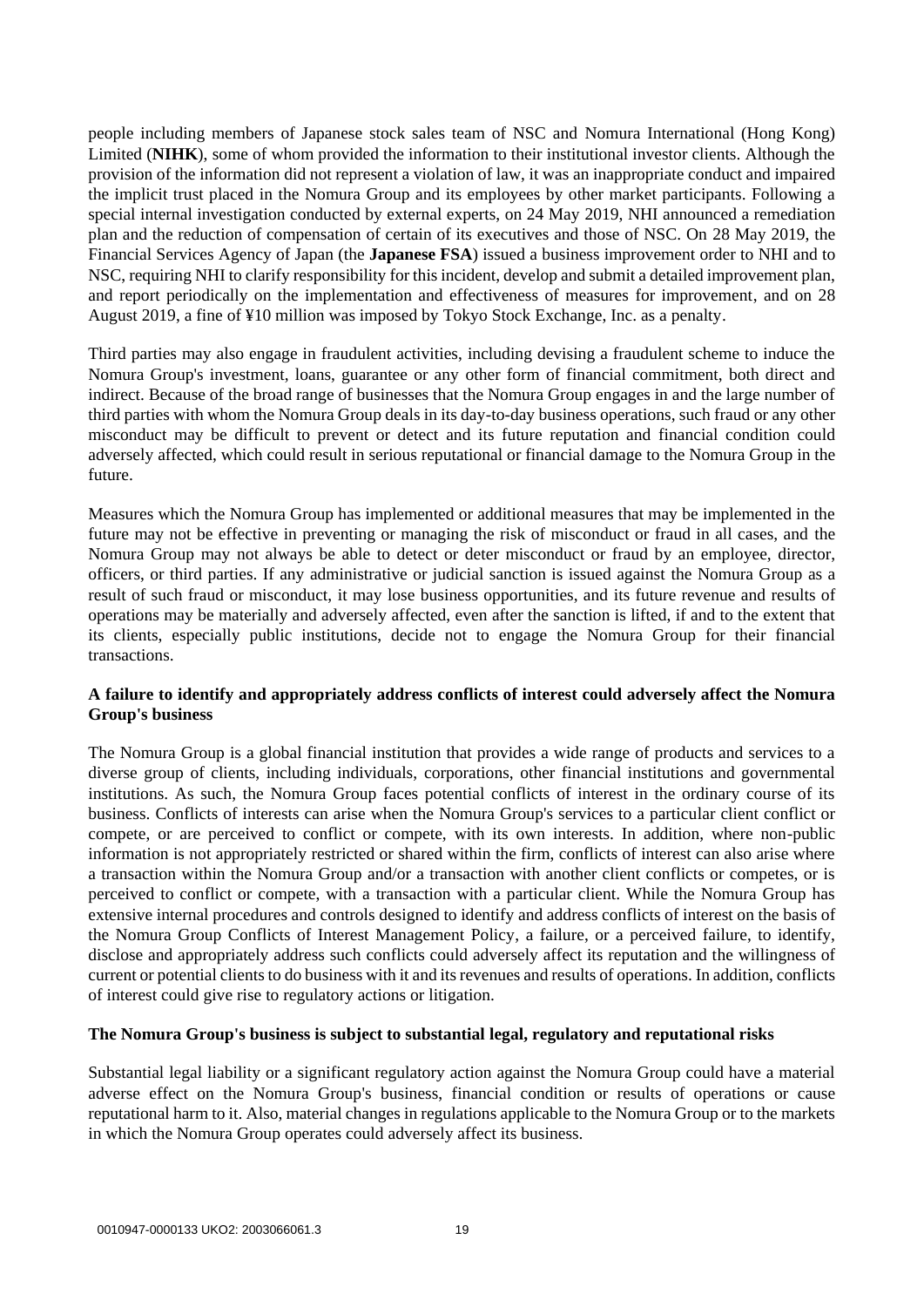people including members of Japanese stock sales team of NSC and Nomura International (Hong Kong) Limited (**NIHK**), some of whom provided the information to their institutional investor clients. Although the provision of the information did not represent a violation of law, it was an inappropriate conduct and impaired the implicit trust placed in the Nomura Group and its employees by other market participants. Following a special internal investigation conducted by external experts, on 24 May 2019, NHI announced a remediation plan and the reduction of compensation of certain of its executives and those of NSC. On 28 May 2019, the Financial Services Agency of Japan (the **Japanese FSA**) issued a business improvement order to NHI and to NSC, requiring NHI to clarify responsibility for this incident, develop and submit a detailed improvement plan, and report periodically on the implementation and effectiveness of measures for improvement, and on 28 August 2019, a fine of ¥10 million was imposed by Tokyo Stock Exchange, Inc. as a penalty.

Third parties may also engage in fraudulent activities, including devising a fraudulent scheme to induce the Nomura Group's investment, loans, guarantee or any other form of financial commitment, both direct and indirect. Because of the broad range of businesses that the Nomura Group engages in and the large number of third parties with whom the Nomura Group deals in its day-to-day business operations, such fraud or any other misconduct may be difficult to prevent or detect and its future reputation and financial condition could adversely affected, which could result in serious reputational or financial damage to the Nomura Group in the future.

Measures which the Nomura Group has implemented or additional measures that may be implemented in the future may not be effective in preventing or managing the risk of misconduct or fraud in all cases, and the Nomura Group may not always be able to detect or deter misconduct or fraud by an employee, director, officers, or third parties. If any administrative or judicial sanction is issued against the Nomura Group as a result of such fraud or misconduct, it may lose business opportunities, and its future revenue and results of operations may be materially and adversely affected, even after the sanction is lifted, if and to the extent that its clients, especially public institutions, decide not to engage the Nomura Group for their financial transactions.

# **A failure to identify and appropriately address conflicts of interest could adversely affect the Nomura Group's business**

The Nomura Group is a global financial institution that provides a wide range of products and services to a diverse group of clients, including individuals, corporations, other financial institutions and governmental institutions. As such, the Nomura Group faces potential conflicts of interest in the ordinary course of its business. Conflicts of interests can arise when the Nomura Group's services to a particular client conflict or compete, or are perceived to conflict or compete, with its own interests. In addition, where non-public information is not appropriately restricted or shared within the firm, conflicts of interest can also arise where a transaction within the Nomura Group and/or a transaction with another client conflicts or competes, or is perceived to conflict or compete, with a transaction with a particular client. While the Nomura Group has extensive internal procedures and controls designed to identify and address conflicts of interest on the basis of the Nomura Group Conflicts of Interest Management Policy, a failure, or a perceived failure, to identify, disclose and appropriately address such conflicts could adversely affect its reputation and the willingness of current or potential clients to do business with it and its revenues and results of operations. In addition, conflicts of interest could give rise to regulatory actions or litigation.

## **The Nomura Group's business is subject to substantial legal, regulatory and reputational risks**

Substantial legal liability or a significant regulatory action against the Nomura Group could have a material adverse effect on the Nomura Group's business, financial condition or results of operations or cause reputational harm to it. Also, material changes in regulations applicable to the Nomura Group or to the markets in which the Nomura Group operates could adversely affect its business.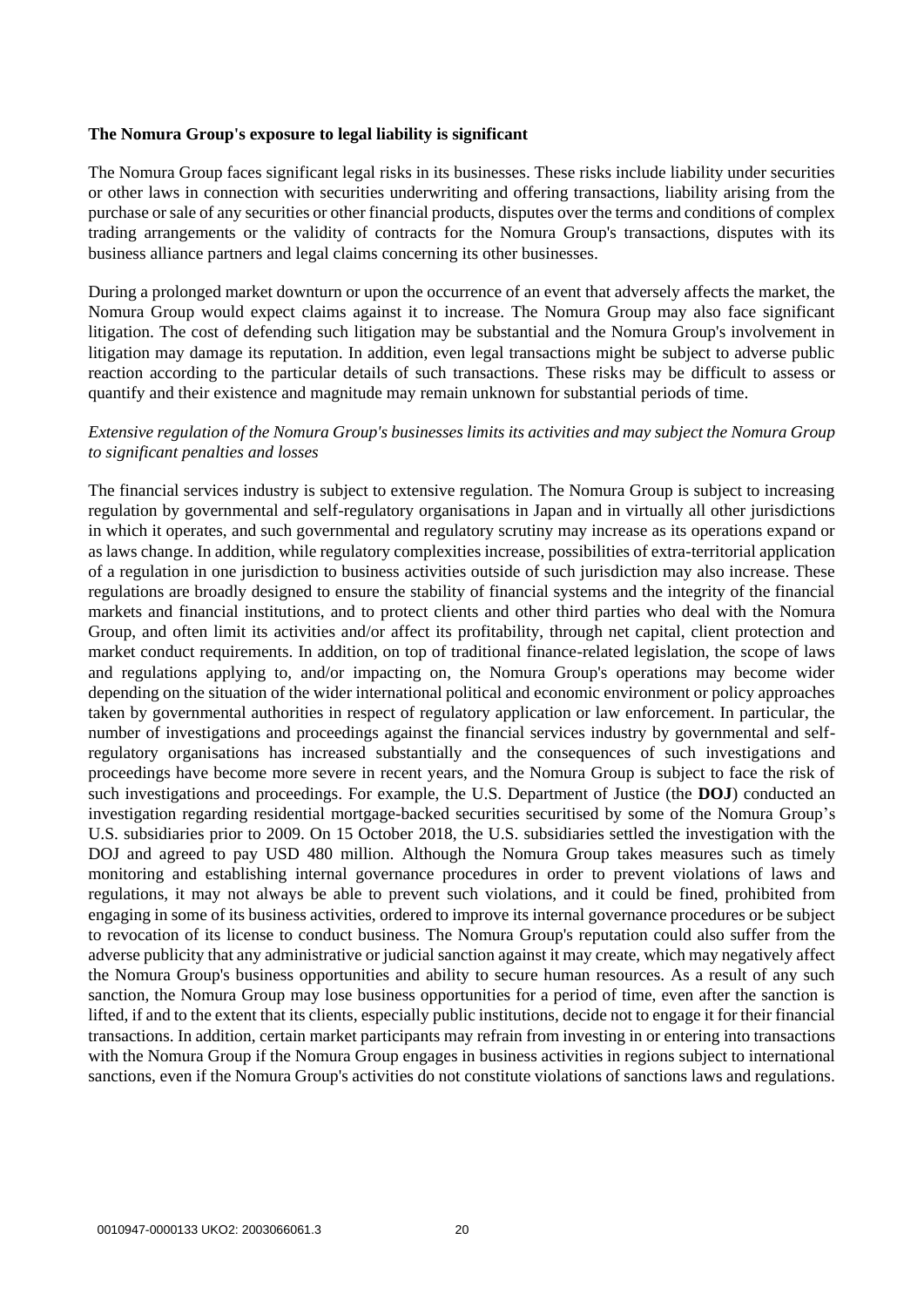#### **The Nomura Group's exposure to legal liability is significant**

The Nomura Group faces significant legal risks in its businesses. These risks include liability under securities or other laws in connection with securities underwriting and offering transactions, liability arising from the purchase or sale of any securities or other financial products, disputes over the terms and conditions of complex trading arrangements or the validity of contracts for the Nomura Group's transactions, disputes with its business alliance partners and legal claims concerning its other businesses.

During a prolonged market downturn or upon the occurrence of an event that adversely affects the market, the Nomura Group would expect claims against it to increase. The Nomura Group may also face significant litigation. The cost of defending such litigation may be substantial and the Nomura Group's involvement in litigation may damage its reputation. In addition, even legal transactions might be subject to adverse public reaction according to the particular details of such transactions. These risks may be difficult to assess or quantify and their existence and magnitude may remain unknown for substantial periods of time.

## *Extensive regulation of the Nomura Group's businesses limits its activities and may subject the Nomura Group to significant penalties and losses*

The financial services industry is subject to extensive regulation. The Nomura Group is subject to increasing regulation by governmental and self-regulatory organisations in Japan and in virtually all other jurisdictions in which it operates, and such governmental and regulatory scrutiny may increase as its operations expand or as laws change. In addition, while regulatory complexities increase, possibilities of extra-territorial application of a regulation in one jurisdiction to business activities outside of such jurisdiction may also increase. These regulations are broadly designed to ensure the stability of financial systems and the integrity of the financial markets and financial institutions, and to protect clients and other third parties who deal with the Nomura Group, and often limit its activities and/or affect its profitability, through net capital, client protection and market conduct requirements. In addition, on top of traditional finance-related legislation, the scope of laws and regulations applying to, and/or impacting on, the Nomura Group's operations may become wider depending on the situation of the wider international political and economic environment or policy approaches taken by governmental authorities in respect of regulatory application or law enforcement. In particular, the number of investigations and proceedings against the financial services industry by governmental and selfregulatory organisations has increased substantially and the consequences of such investigations and proceedings have become more severe in recent years, and the Nomura Group is subject to face the risk of such investigations and proceedings. For example, the U.S. Department of Justice (the **DOJ**) conducted an investigation regarding residential mortgage-backed securities securitised by some of the Nomura Group's U.S. subsidiaries prior to 2009. On 15 October 2018, the U.S. subsidiaries settled the investigation with the DOJ and agreed to pay USD 480 million. Although the Nomura Group takes measures such as timely monitoring and establishing internal governance procedures in order to prevent violations of laws and regulations, it may not always be able to prevent such violations, and it could be fined, prohibited from engaging in some of its business activities, ordered to improve its internal governance procedures or be subject to revocation of its license to conduct business. The Nomura Group's reputation could also suffer from the adverse publicity that any administrative or judicial sanction against it may create, which may negatively affect the Nomura Group's business opportunities and ability to secure human resources. As a result of any such sanction, the Nomura Group may lose business opportunities for a period of time, even after the sanction is lifted, if and to the extent that its clients, especially public institutions, decide not to engage it for their financial transactions. In addition, certain market participants may refrain from investing in or entering into transactions with the Nomura Group if the Nomura Group engages in business activities in regions subject to international sanctions, even if the Nomura Group's activities do not constitute violations of sanctions laws and regulations.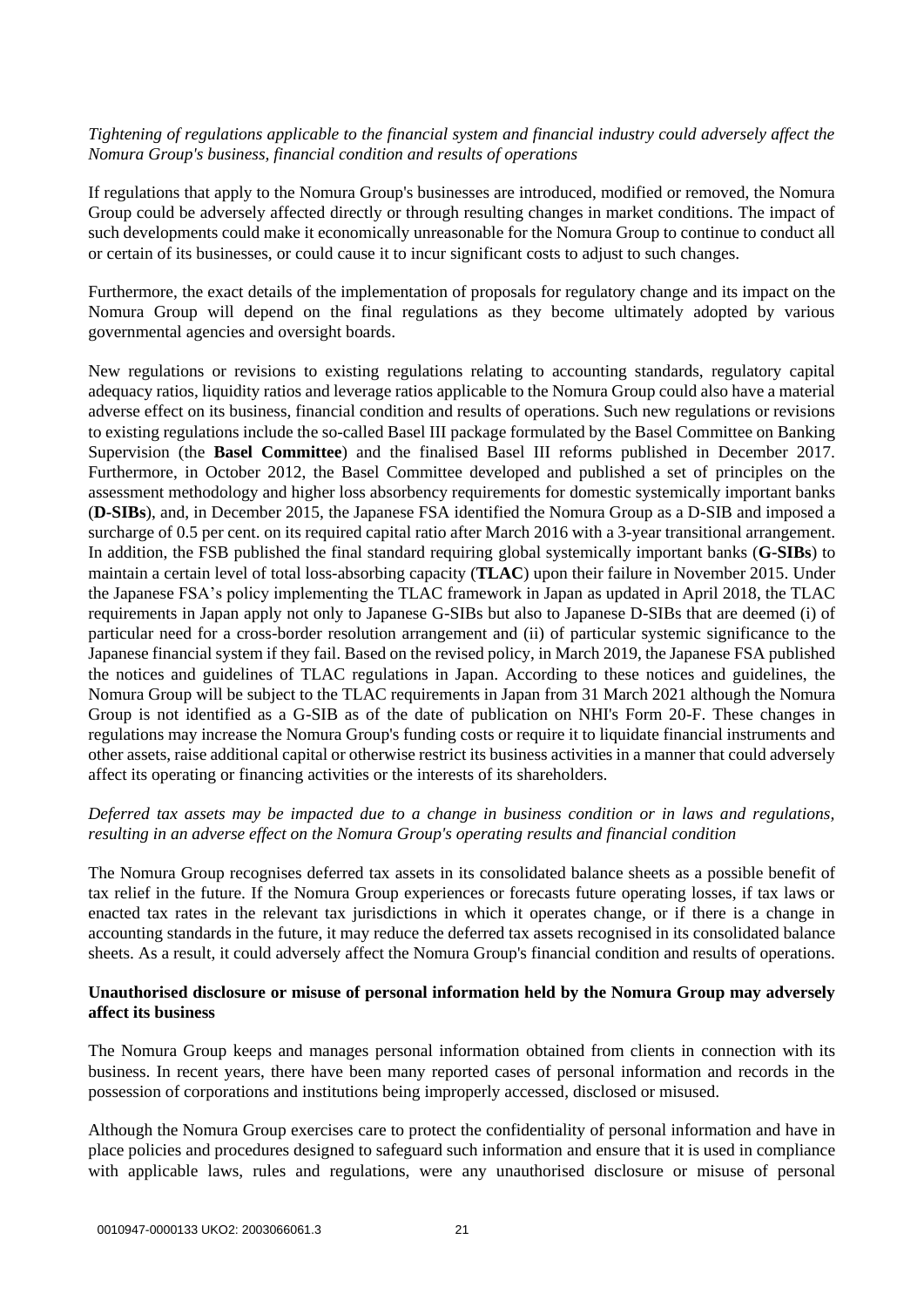## *Tightening of regulations applicable to the financial system and financial industry could adversely affect the Nomura Group's business, financial condition and results of operations*

If regulations that apply to the Nomura Group's businesses are introduced, modified or removed, the Nomura Group could be adversely affected directly or through resulting changes in market conditions. The impact of such developments could make it economically unreasonable for the Nomura Group to continue to conduct all or certain of its businesses, or could cause it to incur significant costs to adjust to such changes.

Furthermore, the exact details of the implementation of proposals for regulatory change and its impact on the Nomura Group will depend on the final regulations as they become ultimately adopted by various governmental agencies and oversight boards.

New regulations or revisions to existing regulations relating to accounting standards, regulatory capital adequacy ratios, liquidity ratios and leverage ratios applicable to the Nomura Group could also have a material adverse effect on its business, financial condition and results of operations. Such new regulations or revisions to existing regulations include the so-called Basel III package formulated by the Basel Committee on Banking Supervision (the **Basel Committee**) and the finalised Basel III reforms published in December 2017. Furthermore, in October 2012, the Basel Committee developed and published a set of principles on the assessment methodology and higher loss absorbency requirements for domestic systemically important banks (**D-SIBs**), and, in December 2015, the Japanese FSA identified the Nomura Group as a D-SIB and imposed a surcharge of 0.5 per cent. on its required capital ratio after March 2016 with a 3-year transitional arrangement. In addition, the FSB published the final standard requiring global systemically important banks (**G-SIBs**) to maintain a certain level of total loss-absorbing capacity (**TLAC**) upon their failure in November 2015. Under the Japanese FSA's policy implementing the TLAC framework in Japan as updated in April 2018, the TLAC requirements in Japan apply not only to Japanese G-SIBs but also to Japanese D-SIBs that are deemed (i) of particular need for a cross-border resolution arrangement and (ii) of particular systemic significance to the Japanese financial system if they fail. Based on the revised policy, in March 2019, the Japanese FSA published the notices and guidelines of TLAC regulations in Japan. According to these notices and guidelines, the Nomura Group will be subject to the TLAC requirements in Japan from 31 March 2021 although the Nomura Group is not identified as a G-SIB as of the date of publication on NHI's Form 20-F. These changes in regulations may increase the Nomura Group's funding costs or require it to liquidate financial instruments and other assets, raise additional capital or otherwise restrict its business activities in a manner that could adversely affect its operating or financing activities or the interests of its shareholders.

## *Deferred tax assets may be impacted due to a change in business condition or in laws and regulations, resulting in an adverse effect on the Nomura Group's operating results and financial condition*

The Nomura Group recognises deferred tax assets in its consolidated balance sheets as a possible benefit of tax relief in the future. If the Nomura Group experiences or forecasts future operating losses, if tax laws or enacted tax rates in the relevant tax jurisdictions in which it operates change, or if there is a change in accounting standards in the future, it may reduce the deferred tax assets recognised in its consolidated balance sheets. As a result, it could adversely affect the Nomura Group's financial condition and results of operations.

## **Unauthorised disclosure or misuse of personal information held by the Nomura Group may adversely affect its business**

The Nomura Group keeps and manages personal information obtained from clients in connection with its business. In recent years, there have been many reported cases of personal information and records in the possession of corporations and institutions being improperly accessed, disclosed or misused.

Although the Nomura Group exercises care to protect the confidentiality of personal information and have in place policies and procedures designed to safeguard such information and ensure that it is used in compliance with applicable laws, rules and regulations, were any unauthorised disclosure or misuse of personal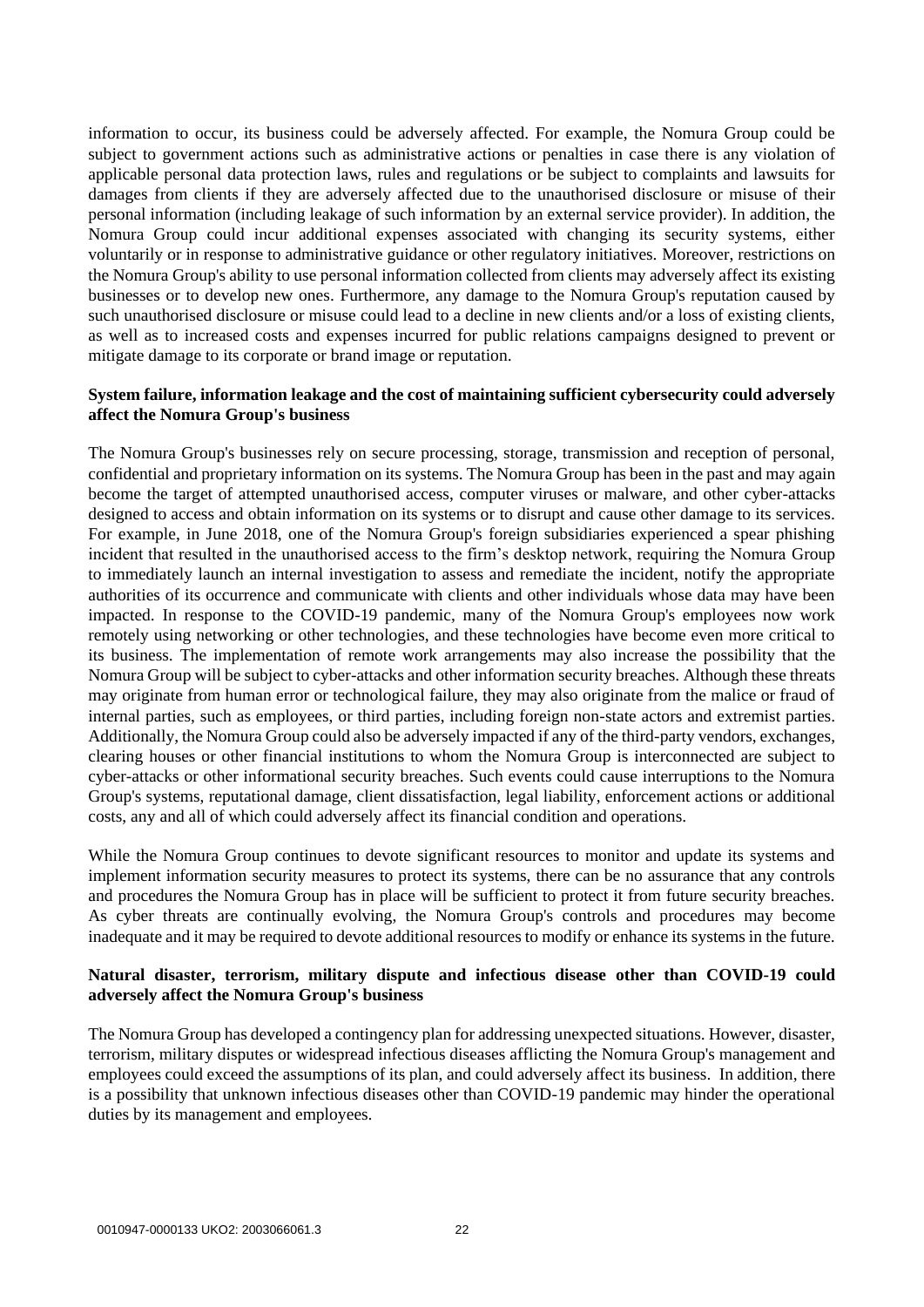information to occur, its business could be adversely affected. For example, the Nomura Group could be subject to government actions such as administrative actions or penalties in case there is any violation of applicable personal data protection laws, rules and regulations or be subject to complaints and lawsuits for damages from clients if they are adversely affected due to the unauthorised disclosure or misuse of their personal information (including leakage of such information by an external service provider). In addition, the Nomura Group could incur additional expenses associated with changing its security systems, either voluntarily or in response to administrative guidance or other regulatory initiatives. Moreover, restrictions on the Nomura Group's ability to use personal information collected from clients may adversely affect its existing businesses or to develop new ones. Furthermore, any damage to the Nomura Group's reputation caused by such unauthorised disclosure or misuse could lead to a decline in new clients and/or a loss of existing clients, as well as to increased costs and expenses incurred for public relations campaigns designed to prevent or mitigate damage to its corporate or brand image or reputation.

#### **System failure, information leakage and the cost of maintaining sufficient cybersecurity could adversely affect the Nomura Group's business**

The Nomura Group's businesses rely on secure processing, storage, transmission and reception of personal, confidential and proprietary information on its systems. The Nomura Group has been in the past and may again become the target of attempted unauthorised access, computer viruses or malware, and other cyber-attacks designed to access and obtain information on its systems or to disrupt and cause other damage to its services. For example, in June 2018, one of the Nomura Group's foreign subsidiaries experienced a spear phishing incident that resulted in the unauthorised access to the firm's desktop network, requiring the Nomura Group to immediately launch an internal investigation to assess and remediate the incident, notify the appropriate authorities of its occurrence and communicate with clients and other individuals whose data may have been impacted. In response to the COVID-19 pandemic, many of the Nomura Group's employees now work remotely using networking or other technologies, and these technologies have become even more critical to its business. The implementation of remote work arrangements may also increase the possibility that the Nomura Group will be subject to cyber-attacks and other information security breaches. Although these threats may originate from human error or technological failure, they may also originate from the malice or fraud of internal parties, such as employees, or third parties, including foreign non-state actors and extremist parties. Additionally, the Nomura Group could also be adversely impacted if any of the third-party vendors, exchanges, clearing houses or other financial institutions to whom the Nomura Group is interconnected are subject to cyber-attacks or other informational security breaches. Such events could cause interruptions to the Nomura Group's systems, reputational damage, client dissatisfaction, legal liability, enforcement actions or additional costs, any and all of which could adversely affect its financial condition and operations.

While the Nomura Group continues to devote significant resources to monitor and update its systems and implement information security measures to protect its systems, there can be no assurance that any controls and procedures the Nomura Group has in place will be sufficient to protect it from future security breaches. As cyber threats are continually evolving, the Nomura Group's controls and procedures may become inadequate and it may be required to devote additional resources to modify or enhance its systems in the future.

## **Natural disaster, terrorism, military dispute and infectious disease other than COVID-19 could adversely affect the Nomura Group's business**

The Nomura Group has developed a contingency plan for addressing unexpected situations. However, disaster, terrorism, military disputes or widespread infectious diseases afflicting the Nomura Group's management and employees could exceed the assumptions of its plan, and could adversely affect its business. In addition, there is a possibility that unknown infectious diseases other than COVID-19 pandemic may hinder the operational duties by its management and employees.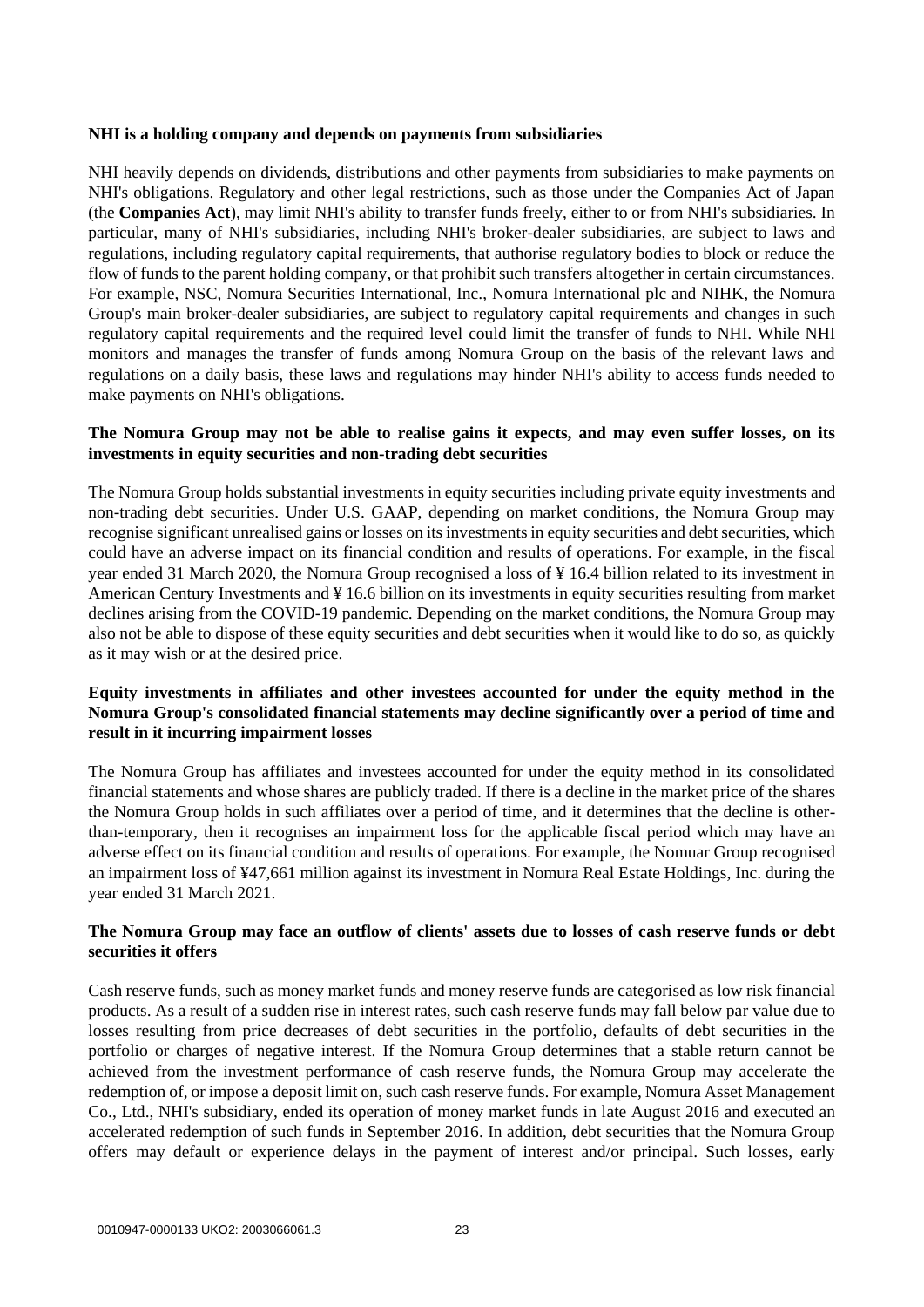#### **NHI is a holding company and depends on payments from subsidiaries**

NHI heavily depends on dividends, distributions and other payments from subsidiaries to make payments on NHI's obligations. Regulatory and other legal restrictions, such as those under the Companies Act of Japan (the **Companies Act**), may limit NHI's ability to transfer funds freely, either to or from NHI's subsidiaries. In particular, many of NHI's subsidiaries, including NHI's broker-dealer subsidiaries, are subject to laws and regulations, including regulatory capital requirements, that authorise regulatory bodies to block or reduce the flow of funds to the parent holding company, or that prohibit such transfers altogether in certain circumstances. For example, NSC, Nomura Securities International, Inc., Nomura International plc and NIHK, the Nomura Group's main broker-dealer subsidiaries, are subject to regulatory capital requirements and changes in such regulatory capital requirements and the required level could limit the transfer of funds to NHI. While NHI monitors and manages the transfer of funds among Nomura Group on the basis of the relevant laws and regulations on a daily basis, these laws and regulations may hinder NHI's ability to access funds needed to make payments on NHI's obligations.

## **The Nomura Group may not be able to realise gains it expects, and may even suffer losses, on its investments in equity securities and non-trading debt securities**

The Nomura Group holds substantial investments in equity securities including private equity investments and non-trading debt securities. Under U.S. GAAP, depending on market conditions, the Nomura Group may recognise significant unrealised gains or losses on its investments in equity securities and debt securities, which could have an adverse impact on its financial condition and results of operations. For example, in the fiscal year ended 31 March 2020, the Nomura Group recognised a loss of ¥ 16.4 billion related to its investment in American Century Investments and ¥ 16.6 billion on its investments in equity securities resulting from market declines arising from the COVID-19 pandemic. Depending on the market conditions, the Nomura Group may also not be able to dispose of these equity securities and debt securities when it would like to do so, as quickly as it may wish or at the desired price.

## **Equity investments in affiliates and other investees accounted for under the equity method in the Nomura Group's consolidated financial statements may decline significantly over a period of time and result in it incurring impairment losses**

The Nomura Group has affiliates and investees accounted for under the equity method in its consolidated financial statements and whose shares are publicly traded. If there is a decline in the market price of the shares the Nomura Group holds in such affiliates over a period of time, and it determines that the decline is otherthan-temporary, then it recognises an impairment loss for the applicable fiscal period which may have an adverse effect on its financial condition and results of operations. For example, the Nomuar Group recognised an impairment loss of ¥47,661 million against its investment in Nomura Real Estate Holdings, Inc. during the year ended 31 March 2021.

## **The Nomura Group may face an outflow of clients' assets due to losses of cash reserve funds or debt securities it offers**

Cash reserve funds, such as money market funds and money reserve funds are categorised as low risk financial products. As a result of a sudden rise in interest rates, such cash reserve funds may fall below par value due to losses resulting from price decreases of debt securities in the portfolio, defaults of debt securities in the portfolio or charges of negative interest. If the Nomura Group determines that a stable return cannot be achieved from the investment performance of cash reserve funds, the Nomura Group may accelerate the redemption of, or impose a deposit limit on, such cash reserve funds. For example, Nomura Asset Management Co., Ltd., NHI's subsidiary, ended its operation of money market funds in late August 2016 and executed an accelerated redemption of such funds in September 2016. In addition, debt securities that the Nomura Group offers may default or experience delays in the payment of interest and/or principal. Such losses, early